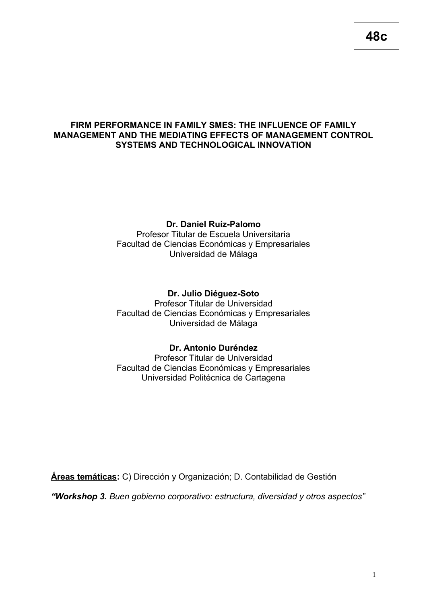# **FIRM PERFORMANCE IN FAMILY SMES: THE INFLUENCE OF FAMILY MANAGEMENT AND THE MEDIATING EFFECTS OF MANAGEMENT CONTROL SYSTEMS AND TECHNOLOGICAL INNOVATION**

# **Dr. Daniel Ruíz-Palomo**

Profesor Titular de Escuela Universitaria Facultad de Ciencias Económicas y Empresariales Universidad de Málaga

**Dr. Julio Diéguez-Soto** Profesor Titular de Universidad Facultad de Ciencias Económicas y Empresariales Universidad de Málaga

# **Dr. Antonio Duréndez**

Profesor Titular de Universidad Facultad de Ciencias Económicas y Empresariales Universidad Politécnica de Cartagena

**Áreas temáticas:** C) Dirección y Organización; D. Contabilidad de Gestión

*"Workshop 3. Buen gobierno corporativo: estructura, diversidad y otros aspectos"*

**48c**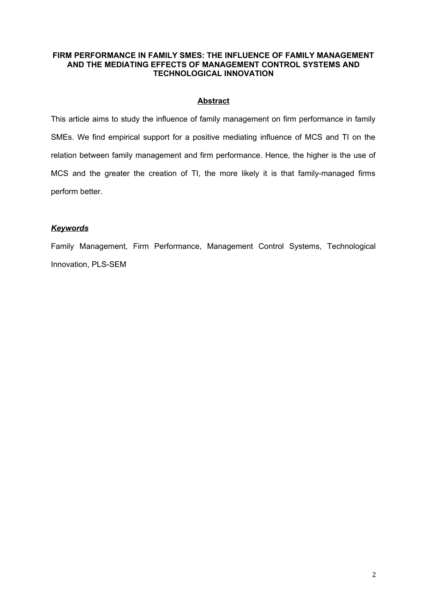### **FIRM PERFORMANCE IN FAMILY SMES: THE INFLUENCE OF FAMILY MANAGEMENT AND THE MEDIATING EFFECTS OF MANAGEMENT CONTROL SYSTEMS AND TECHNOLOGICAL INNOVATION**

# **Abstract**

This article aims to study the influence of family management on firm performance in family SMEs. We find empirical support for a positive mediating influence of MCS and TI on the relation between family management and firm performance. Hence, the higher is the use of MCS and the greater the creation of TI, the more likely it is that family-managed firms perform better.

# *Keywords*

Family Management, Firm Performance, Management Control Systems, Technological Innovation, PLS-SEM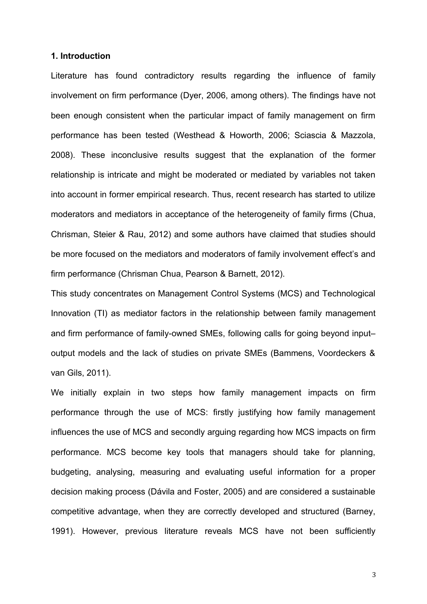#### **1. Introduction**

Literature has found contradictory results regarding the influence of family involvement on firm performance (Dyer, 2006, among others). The findings have not been enough consistent when the particular impact of family management on firm performance has been tested (Westhead & Howorth, 2006; Sciascia & Mazzola, 2008). These inconclusive results suggest that the explanation of the former relationship is intricate and might be moderated or mediated by variables not taken into account in former empirical research. Thus, recent research has started to utilize moderators and mediators in acceptance of the heterogeneity of family firms (Chua, Chrisman, Steier & Rau, 2012) and some authors have claimed that studies should be more focused on the mediators and moderators of family involvement effect's and firm performance (Chrisman Chua, Pearson & Barnett, 2012).

This study concentrates on Management Control Systems (MCS) and Technological Innovation (TI) as mediator factors in the relationship between family management and firm performance of family-owned SMEs, following calls for going beyond input– output models and the lack of studies on private SMEs (Bammens, Voordeckers & van Gils, 2011).

We initially explain in two steps how family management impacts on firm performance through the use of MCS: firstly justifying how family management influences the use of MCS and secondly arguing regarding how MCS impacts on firm performance. MCS become key tools that managers should take for planning, budgeting, analysing, measuring and evaluating useful information for a proper decision making process (Dávila and Foster, 2005) and are considered a sustainable competitive advantage, when they are correctly developed and structured (Barney, 1991). However, previous literature reveals MCS have not been sufficiently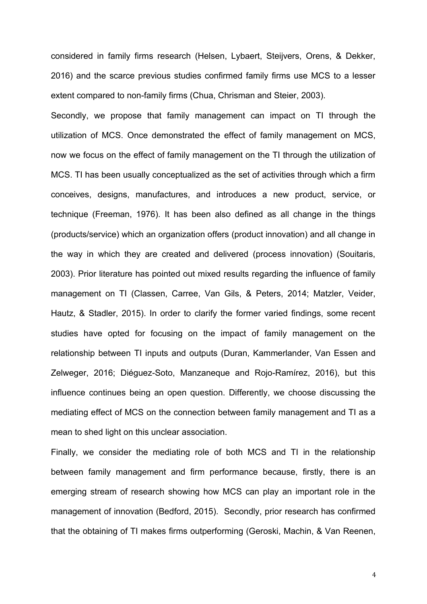considered in family firms research (Helsen, Lybaert, Steijvers, Orens, & Dekker, 2016) and the scarce previous studies confirmed family firms use MCS to a lesser extent compared to non-family firms (Chua, Chrisman and Steier, 2003).

Secondly, we propose that family management can impact on TI through the utilization of MCS. Once demonstrated the effect of family management on MCS, now we focus on the effect of family management on the TI through the utilization of MCS. TI has been usually conceptualized as the set of activities through which a firm conceives, designs, manufactures, and introduces a new product, service, or technique (Freeman, 1976). It has been also defined as all change in the things (products/service) which an organization offers (product innovation) and all change in the way in which they are created and delivered (process innovation) (Souitaris, 2003). Prior literature has pointed out mixed results regarding the influence of family management on TI (Classen, Carree, Van Gils, & Peters, 2014; Matzler, Veider, Hautz, & Stadler, 2015). In order to clarify the former varied findings, some recent studies have opted for focusing on the impact of family management on the relationship between TI inputs and outputs (Duran, Kammerlander, Van Essen and Zelweger, 2016; Diéguez-Soto, Manzaneque and Rojo-Ramírez, 2016), but this influence continues being an open question. Differently, we choose discussing the mediating effect of MCS on the connection between family management and TI as a mean to shed light on this unclear association.

Finally, we consider the mediating role of both MCS and TI in the relationship between family management and firm performance because, firstly, there is an emerging stream of research showing how MCS can play an important role in the management of innovation (Bedford, 2015). Secondly, prior research has confirmed that the obtaining of TI makes firms outperforming (Geroski, Machin, & Van Reenen,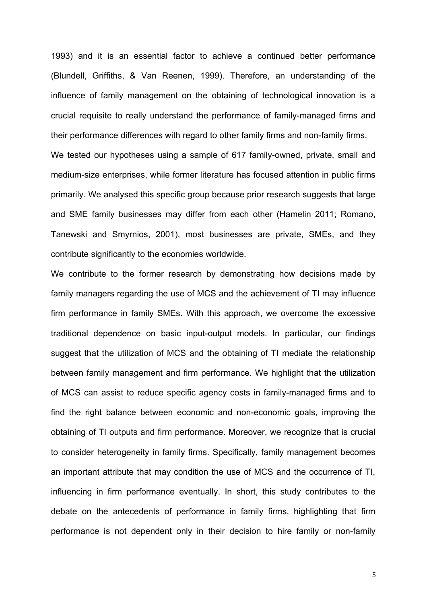1993) and it is an essential factor to achieve a continued better performance (Blundell, Griffiths, & Van Reenen, 1999). Therefore, an understanding of the influence of family management on the obtaining of technological innovation is a crucial requisite to really understand the performance of family-managed firms and their performance differences with regard to other family firms and non-family firms. We tested our hypotheses using a sample of 617 family-owned, private, small and medium-size enterprises, while former literature has focused attention in public firms primarily. We analysed this specific group because prior research suggests that large and SME family businesses may differ from each other (Hamelin 2011; Romano, Tanewski and Smyrnios, 2001), most businesses are private, SMEs, and they contribute significantly to the economies worldwide.

We contribute to the former research by demonstrating how decisions made by family managers regarding the use of MCS and the achievement of TI may influence firm performance in family SMEs. With this approach, we overcome the excessive traditional dependence on basic input-output models. In particular, our findings suggest that the utilization of MCS and the obtaining of TI mediate the relationship between family management and firm performance. We highlight that the utilization of MCS can assist to reduce specific agency costs in family-managed firms and to find the right balance between economic and non-economic goals, improving the obtaining of TI outputs and firm performance. Moreover, we recognize that is crucial to consider heterogeneity in family firms. Specifically, family management becomes an important attribute that may condition the use of MCS and the occurrence of TI, influencing in firm performance eventually. In short, this study contributes to the debate on the antecedents of performance in family firms, highlighting that firm performance is not dependent only in their decision to hire family or non-family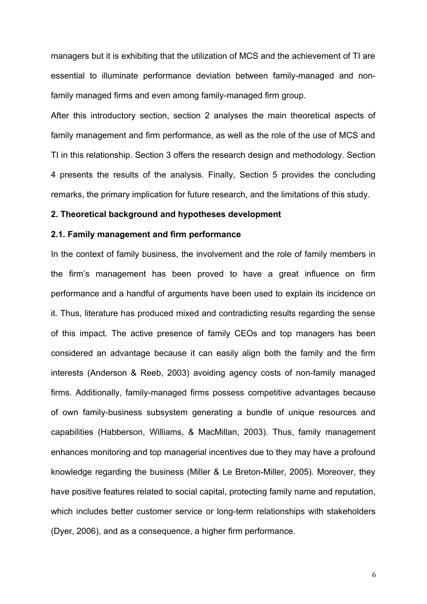managers but it is exhibiting that the utilization of MCS and the achievement of TI are essential to illuminate performance deviation between family-managed and nonfamily managed firms and even among family-managed firm group.

After this introductory section, section 2 analyses the main theoretical aspects of family management and firm performance, as well as the role of the use of MCS and TI in this relationship. Section 3 offers the research design and methodology. Section 4 presents the results of the analysis. Finally, Section 5 provides the concluding remarks, the primary implication for future research, and the limitations of this study.

#### **2. Theoretical background and hypotheses development**

# **2.1. Family management and firm performance**

In the context of family business, the involvement and the role of family members in the firm's management has been proved to have a great influence on firm performance and a handful of arguments have been used to explain its incidence on it. Thus, literature has produced mixed and contradicting results regarding the sense of this impact. The active presence of family CEOs and top managers has been considered an advantage because it can easily align both the family and the firm interests (Anderson & Reeb, 2003) avoiding agency costs of non-family managed firms. Additionally, family-managed firms possess competitive advantages because of own family-business subsystem generating a bundle of unique resources and capabilities (Habberson, Williams, & MacMillan, 2003). Thus, family management enhances monitoring and top managerial incentives due to they may have a profound knowledge regarding the business (Miller & Le Breton-Miller, 2005). Moreover, they have positive features related to social capital, protecting family name and reputation, which includes better customer service or long-term relationships with stakeholders (Dyer, 2006), and as a consequence, a higher firm performance.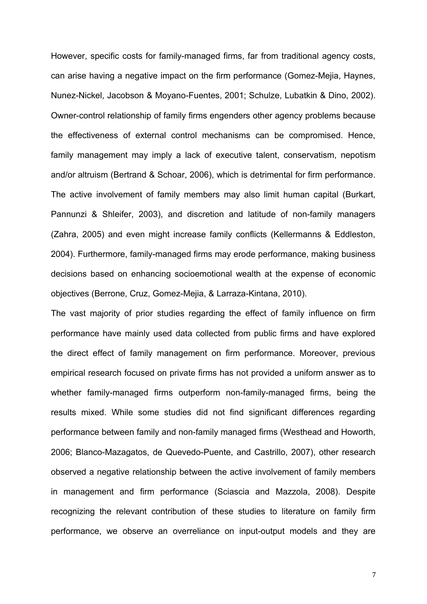However, specific costs for family-managed firms, far from traditional agency costs, can arise having a negative impact on the firm performance (Gomez-Mejia, Haynes, Nunez-Nickel, Jacobson & Moyano-Fuentes, 2001; Schulze, Lubatkin & Dino, 2002). Owner-control relationship of family firms engenders other agency problems because the effectiveness of external control mechanisms can be compromised. Hence, family management may imply a lack of executive talent, conservatism, nepotism and/or altruism (Bertrand & Schoar, 2006), which is detrimental for firm performance. The active involvement of family members may also limit human capital (Burkart, Pannunzi & Shleifer, 2003), and discretion and latitude of non-family managers (Zahra, 2005) and even might increase family conflicts (Kellermanns & Eddleston, 2004). Furthermore, family-managed firms may erode performance, making business decisions based on enhancing socioemotional wealth at the expense of economic objectives (Berrone, Cruz, Gomez-Mejia, & Larraza-Kintana, 2010).

The vast majority of prior studies regarding the effect of family influence on firm performance have mainly used data collected from public firms and have explored the direct effect of family management on firm performance. Moreover, previous empirical research focused on private firms has not provided a uniform answer as to whether family-managed firms outperform non-family-managed firms, being the results mixed. While some studies did not find significant differences regarding performance between family and non-family managed firms (Westhead and Howorth, 2006; Blanco-Mazagatos, de Quevedo-Puente, and Castrillo, 2007), other research observed a negative relationship between the active involvement of family members in management and firm performance (Sciascia and Mazzola, 2008). Despite recognizing the relevant contribution of these studies to literature on family firm performance, we observe an overreliance on input-output models and they are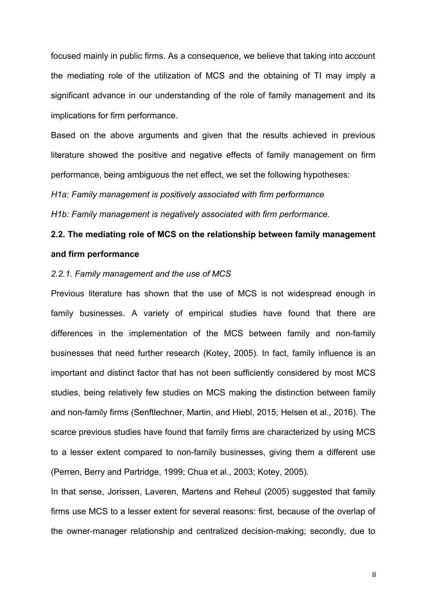focused mainly in public firms. As a consequence, we believe that taking into account the mediating role of the utilization of MCS and the obtaining of TI may imply a significant advance in our understanding of the role of family management and its implications for firm performance.

Based on the above arguments and given that the results achieved in previous literature showed the positive and negative effects of family management on firm performance, being ambiguous the net effect, we set the following hypotheses:

*H1a: Family management is positively associated with firm performance*

*H1b: Family management is negatively associated with firm performance.*

# **2.2. The mediating role of MCS on the relationship between family management and firm performance**

#### *2.2.1. Family management and the use of MCS*

Previous literature has shown that the use of MCS is not widespread enough in family businesses. A variety of empirical studies have found that there are differences in the implementation of the MCS between family and non-family businesses that need further research (Kotey, 2005). In fact, family influence is an important and distinct factor that has not been sufficiently considered by most MCS studies, being relatively few studies on MCS making the distinction between family and non-family firms (Senftlechner, Martin, and Hiebl, 2015; Helsen et al., 2016). The scarce previous studies have found that family firms are characterized by using MCS to a lesser extent compared to non-family businesses, giving them a different use (Perren, Berry and Partridge, 1999; Chua et al., 2003; Kotey, 2005).

In that sense, Jorissen, Laveren, Martens and Reheul (2005) suggested that family firms use MCS to a lesser extent for several reasons: first, because of the overlap of the owner-manager relationship and centralized decision-making; secondly, due to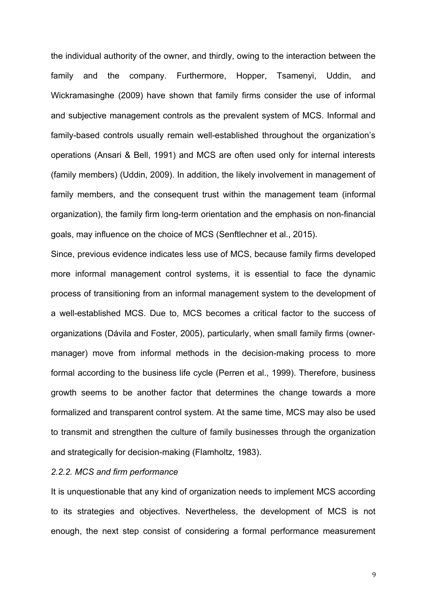the individual authority of the owner, and thirdly, owing to the interaction between the family and the company. Furthermore, Hopper, Tsamenyi, Uddin, and Wickramasinghe (2009) have shown that family firms consider the use of informal and subjective management controls as the prevalent system of MCS. Informal and family-based controls usually remain well-established throughout the organization's operations (Ansari & Bell, 1991) and MCS are often used only for internal interests (family members) (Uddin, 2009). In addition, the likely involvement in management of family members, and the consequent trust within the management team (informal organization), the family firm long-term orientation and the emphasis on non-financial goals, may influence on the choice of MCS (Senftlechner et al., 2015).

Since, previous evidence indicates less use of MCS, because family firms developed more informal management control systems, it is essential to face the dynamic process of transitioning from an informal management system to the development of a well-established MCS. Due to, MCS becomes a critical factor to the success of organizations (Dávila and Foster, 2005), particularly, when small family firms (ownermanager) move from informal methods in the decision-making process to more formal according to the business life cycle (Perren et al., 1999). Therefore, business growth seems to be another factor that determines the change towards a more formalized and transparent control system. At the same time, MCS may also be used to transmit and strengthen the culture of family businesses through the organization and strategically for decision-making (Flamholtz, 1983).

# *2.2.2. MCS and firm performance*

It is unquestionable that any kind of organization needs to implement MCS according to its strategies and objectives. Nevertheless, the development of MCS is not enough, the next step consist of considering a formal performance measurement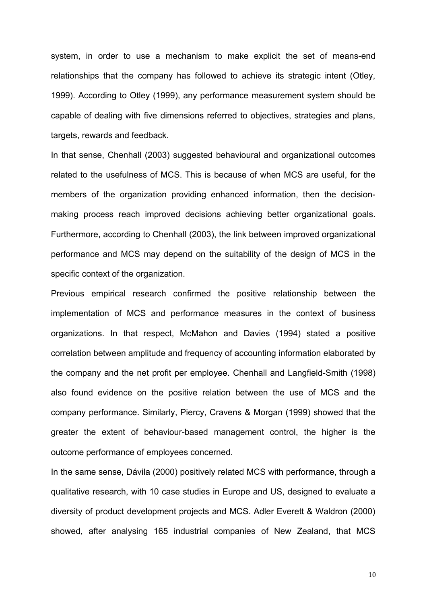system, in order to use a mechanism to make explicit the set of means-end relationships that the company has followed to achieve its strategic intent (Otley, 1999). According to Otley (1999), any performance measurement system should be capable of dealing with five dimensions referred to objectives, strategies and plans, targets, rewards and feedback.

In that sense, Chenhall (2003) suggested behavioural and organizational outcomes related to the usefulness of MCS. This is because of when MCS are useful, for the members of the organization providing enhanced information, then the decisionmaking process reach improved decisions achieving better organizational goals. Furthermore, according to Chenhall (2003), the link between improved organizational performance and MCS may depend on the suitability of the design of MCS in the specific context of the organization.

Previous empirical research confirmed the positive relationship between the implementation of MCS and performance measures in the context of business organizations. In that respect, McMahon and Davies (1994) stated a positive correlation between amplitude and frequency of accounting information elaborated by the company and the net profit per employee. Chenhall and Langfield-Smith (1998) also found evidence on the positive relation between the use of MCS and the company performance. Similarly, Piercy, Cravens & Morgan (1999) showed that the greater the extent of behaviour-based management control, the higher is the outcome performance of employees concerned.

In the same sense, Dávila (2000) positively related MCS with performance, through a qualitative research, with 10 case studies in Europe and US, designed to evaluate a diversity of product development projects and MCS. Adler Everett & Waldron (2000) showed, after analysing 165 industrial companies of New Zealand, that MCS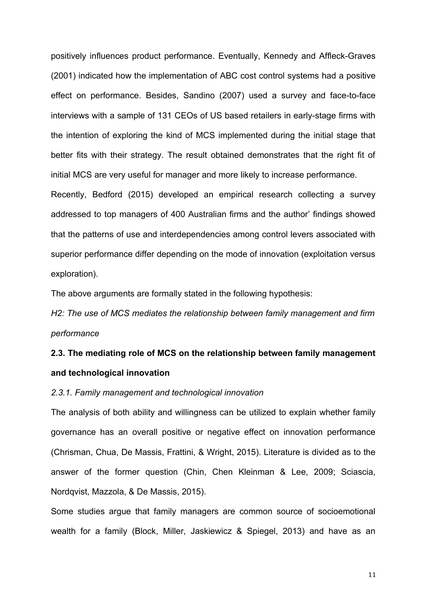positively influences product performance. Eventually, Kennedy and Affleck-Graves (2001) indicated how the implementation of ABC cost control systems had a positive effect on performance. Besides, Sandino (2007) used a survey and face-to-face interviews with a sample of 131 CEOs of US based retailers in early-stage firms with the intention of exploring the kind of MCS implemented during the initial stage that better fits with their strategy. The result obtained demonstrates that the right fit of initial MCS are very useful for manager and more likely to increase performance.

Recently, Bedford (2015) developed an empirical research collecting a survey addressed to top managers of 400 Australian firms and the author' findings showed that the patterns of use and interdependencies among control levers associated with superior performance differ depending on the mode of innovation (exploitation versus exploration).

The above arguments are formally stated in the following hypothesis:

*H2: The use of MCS mediates the relationship between family management and firm performance*

# **2.3. The mediating role of MCS on the relationship between family management and technological innovation**

# *2.3.1. Family management and technological innovation*

The analysis of both ability and willingness can be utilized to explain whether family governance has an overall positive or negative effect on innovation performance (Chrisman, Chua, De Massis, Frattini, & Wright, 2015). Literature is divided as to the answer of the former question (Chin, Chen Kleinman & Lee, 2009; Sciascia, Nordqvist, Mazzola, & De Massis, 2015).

Some studies argue that family managers are common source of socioemotional wealth for a family (Block, Miller, Jaskiewicz & Spiegel, 2013) and have as an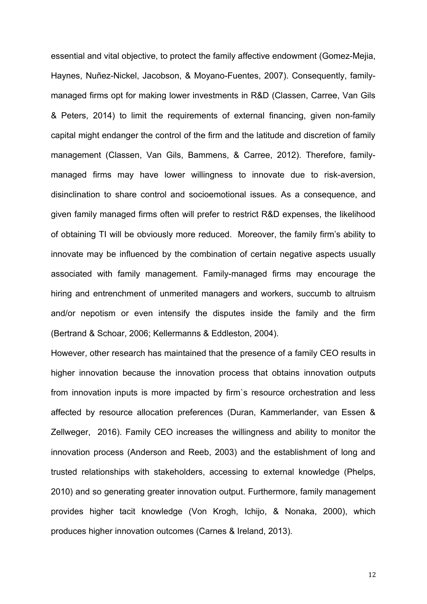essential and vital objective, to protect the family affective endowment (Gomez-Mejia, Haynes, Nuñez-Nickel, Jacobson, & Moyano-Fuentes, 2007). Consequently, familymanaged firms opt for making lower investments in R&D (Classen, Carree, Van Gils & Peters, 2014) to limit the requirements of external financing, given non-family capital might endanger the control of the firm and the latitude and discretion of family management (Classen, Van Gils, Bammens, & Carree, 2012). Therefore, familymanaged firms may have lower willingness to innovate due to risk-aversion, disinclination to share control and socioemotional issues. As a consequence, and given family managed firms often will prefer to restrict R&D expenses, the likelihood of obtaining TI will be obviously more reduced. Moreover, the family firm's ability to innovate may be influenced by the combination of certain negative aspects usually associated with family management. Family-managed firms may encourage the hiring and entrenchment of unmerited managers and workers, succumb to altruism and/or nepotism or even intensify the disputes inside the family and the firm (Bertrand & Schoar, 2006; Kellermanns & Eddleston, 2004).

However, other research has maintained that the presence of a family CEO results in higher innovation because the innovation process that obtains innovation outputs from innovation inputs is more impacted by firm`s resource orchestration and less affected by resource allocation preferences (Duran, Kammerlander, van Essen & Zellweger, 2016). Family CEO increases the willingness and ability to monitor the innovation process (Anderson and Reeb, 2003) and the establishment of long and trusted relationships with stakeholders, accessing to external knowledge (Phelps, 2010) and so generating greater innovation output. Furthermore, family management provides higher tacit knowledge (Von Krogh, Ichijo, & Nonaka, 2000), which produces higher innovation outcomes (Carnes & Ireland, 2013).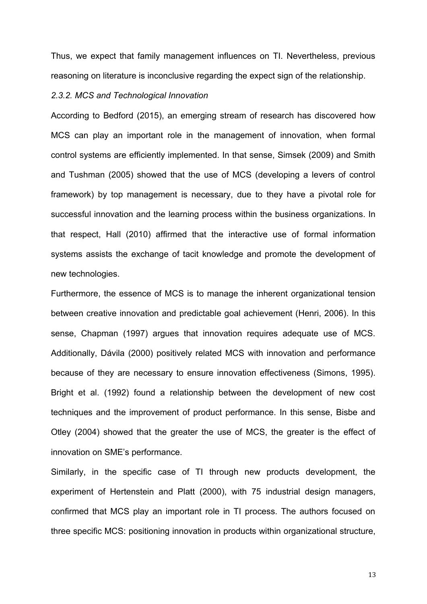Thus, we expect that family management influences on TI. Nevertheless, previous reasoning on literature is inconclusive regarding the expect sign of the relationship.

### *2.3.2. MCS and Technological Innovation*

According to Bedford (2015), an emerging stream of research has discovered how MCS can play an important role in the management of innovation, when formal control systems are efficiently implemented. In that sense, Simsek (2009) and Smith and Tushman (2005) showed that the use of MCS (developing a levers of control framework) by top management is necessary, due to they have a pivotal role for successful innovation and the learning process within the business organizations. In that respect, Hall (2010) affirmed that the interactive use of formal information systems assists the exchange of tacit knowledge and promote the development of new technologies.

Furthermore, the essence of MCS is to manage the inherent organizational tension between creative innovation and predictable goal achievement (Henri, 2006). In this sense, Chapman (1997) argues that innovation requires adequate use of MCS. Additionally, Dávila (2000) positively related MCS with innovation and performance because of they are necessary to ensure innovation effectiveness (Simons, 1995). Bright et al. (1992) found a relationship between the development of new cost techniques and the improvement of product performance. In this sense, Bisbe and Otley (2004) showed that the greater the use of MCS, the greater is the effect of innovation on SME's performance.

Similarly, in the specific case of TI through new products development, the experiment of Hertenstein and Platt (2000), with 75 industrial design managers, confirmed that MCS play an important role in TI process. The authors focused on three specific MCS: positioning innovation in products within organizational structure,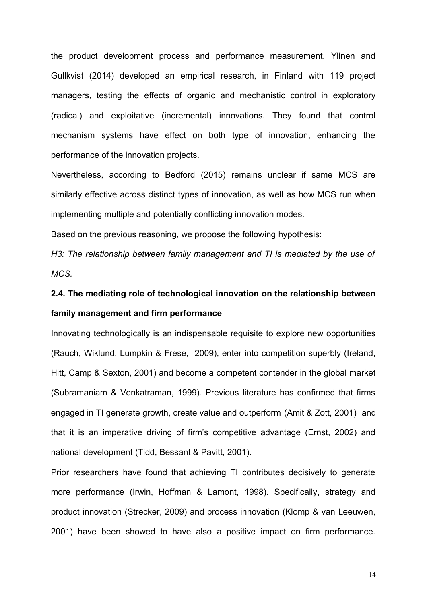the product development process and performance measurement. Ylinen and Gullkvist (2014) developed an empirical research, in Finland with 119 project managers, testing the effects of organic and mechanistic control in exploratory (radical) and exploitative (incremental) innovations. They found that control mechanism systems have effect on both type of innovation, enhancing the performance of the innovation projects.

Nevertheless, according to Bedford (2015) remains unclear if same MCS are similarly effective across distinct types of innovation, as well as how MCS run when implementing multiple and potentially conflicting innovation modes.

Based on the previous reasoning, we propose the following hypothesis:

*H3: The relationship between family management and TI is mediated by the use of MCS.* 

# **2.4. The mediating role of technological innovation on the relationship between family management and firm performance**

Innovating technologically is an indispensable requisite to explore new opportunities (Rauch, Wiklund, Lumpkin & Frese, 2009), enter into competition superbly (Ireland, Hitt, Camp & Sexton, 2001) and become a competent contender in the global market (Subramaniam & Venkatraman, 1999). Previous literature has confirmed that firms engaged in TI generate growth, create value and outperform (Amit & Zott, 2001) and that it is an imperative driving of firm's competitive advantage (Ernst, 2002) and national development (Tidd, Bessant & Pavitt, 2001).

Prior researchers have found that achieving TI contributes decisively to generate more performance (Irwin, Hoffman & Lamont, 1998). Specifically, strategy and product innovation (Strecker, 2009) and process innovation (Klomp & van Leeuwen, 2001) have been showed to have also a positive impact on firm performance.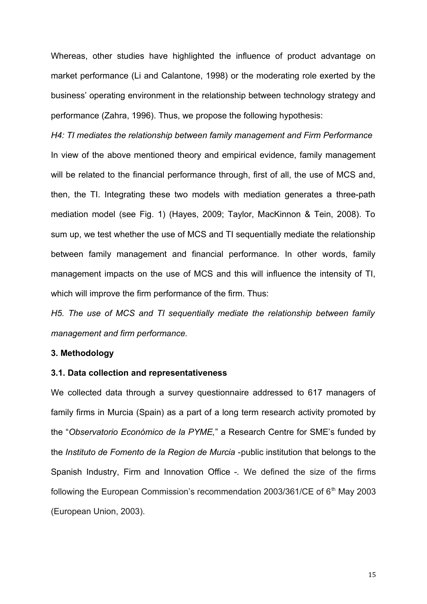Whereas, other studies have highlighted the influence of product advantage on market performance (Li and Calantone, 1998) or the moderating role exerted by the business' operating environment in the relationship between technology strategy and performance (Zahra, 1996). Thus, we propose the following hypothesis:

*H4: TI mediates the relationship between family management and Firm Performance*  In view of the above mentioned theory and empirical evidence, family management will be related to the financial performance through, first of all, the use of MCS and, then, the TI. Integrating these two models with mediation generates a three-path mediation model (see Fig. 1) (Hayes, 2009; Taylor, MacKinnon & Tein, 2008). To sum up, we test whether the use of MCS and TI sequentially mediate the relationship between family management and financial performance. In other words, family management impacts on the use of MCS and this will influence the intensity of TI, which will improve the firm performance of the firm. Thus:

*H5. The use of MCS and TI sequentially mediate the relationship between family management and firm performance.*

# **3. Methodology**

### **3.1. Data collection and representativeness**

We collected data through a survey questionnaire addressed to 617 managers of family firms in Murcia (Spain) as a part of a long term research activity promoted by the "*Observatorio Económico de la PYME,*" a Research Centre for SME's funded by the *Instituto de Fomento de la Region de Murcia -*public institution that belongs to the Spanish Industry, Firm and Innovation Office *-.* We defined the size of the firms following the European Commission's recommendation 2003/361/CE of  $6<sup>th</sup>$  May 2003 (European Union, 2003).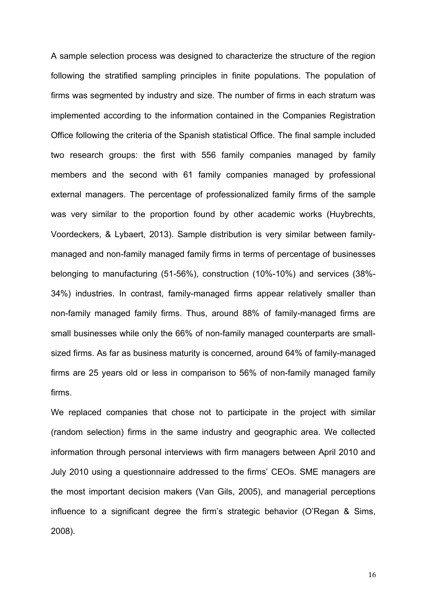A sample selection process was designed to characterize the structure of the region following the stratified sampling principles in finite populations. The population of firms was segmented by industry and size. The number of firms in each stratum was implemented according to the information contained in the Companies Registration Office following the criteria of the Spanish statistical Office. The final sample included two research groups: the first with 556 family companies managed by family members and the second with 61 family companies managed by professional external managers. The percentage of professionalized family firms of the sample was very similar to the proportion found by other academic works (Huybrechts, Voordeckers, & Lybaert, 2013). Sample distribution is very similar between familymanaged and non-family managed family firms in terms of percentage of businesses belonging to manufacturing (51-56%), construction (10%-10%) and services (38%- 34%) industries. In contrast, family-managed firms appear relatively smaller than non-family managed family firms. Thus, around 88% of family-managed firms are small businesses while only the 66% of non-family managed counterparts are smallsized firms. As far as business maturity is concerned, around 64% of family-managed firms are 25 years old or less in comparison to 56% of non-family managed family firms.

We replaced companies that chose not to participate in the project with similar (random selection) firms in the same industry and geographic area. We collected information through personal interviews with firm managers between April 2010 and July 2010 using a questionnaire addressed to the firms' CEOs. SME managers are the most important decision makers (Van Gils, 2005), and managerial perceptions influence to a significant degree the firm's strategic behavior (O'Regan & Sims, 2008).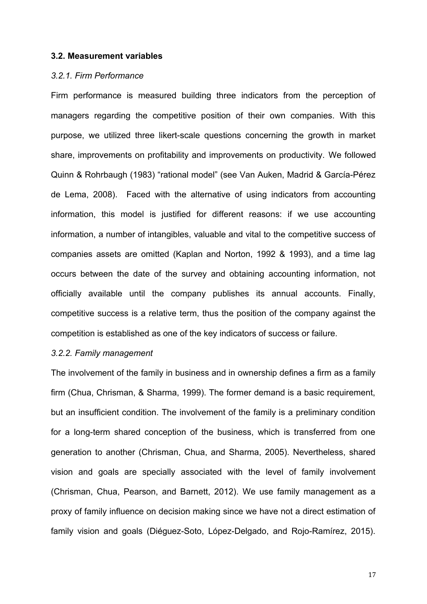#### **3.2. Measurement variables**

#### *3.2.1. Firm Performance*

Firm performance is measured building three indicators from the perception of managers regarding the competitive position of their own companies. With this purpose, we utilized three likert-scale questions concerning the growth in market share, improvements on profitability and improvements on productivity. We followed Quinn & Rohrbaugh (1983) "rational model" (see Van Auken, Madrid & García-Pérez de Lema, 2008). Faced with the alternative of using indicators from accounting information, this model is justified for different reasons: if we use accounting information, a number of intangibles, valuable and vital to the competitive success of companies assets are omitted (Kaplan and Norton, 1992 & 1993), and a time lag occurs between the date of the survey and obtaining accounting information, not officially available until the company publishes its annual accounts. Finally, competitive success is a relative term, thus the position of the company against the competition is established as one of the key indicators of success or failure.

# *3.2.2. Family management*

The involvement of the family in business and in ownership defines a firm as a family firm (Chua, Chrisman, & Sharma, 1999). The former demand is a basic requirement, but an insufficient condition. The involvement of the family is a preliminary condition for a long-term shared conception of the business, which is transferred from one generation to another (Chrisman, Chua, and Sharma, 2005). Nevertheless, shared vision and goals are specially associated with the level of family involvement (Chrisman, Chua, Pearson, and Barnett, 2012). We use family management as a proxy of family influence on decision making since we have not a direct estimation of family vision and goals (Diéguez-Soto, López-Delgado, and Rojo-Ramírez, 2015).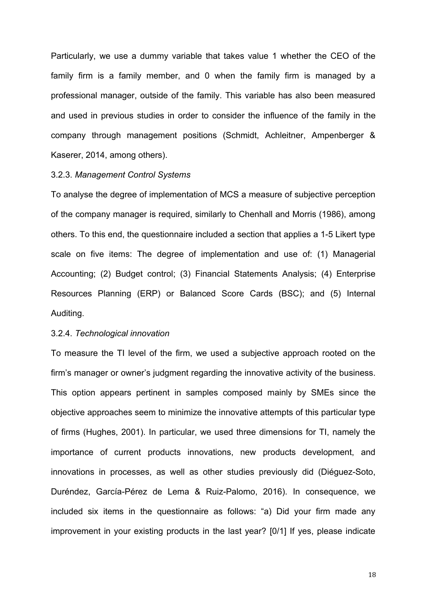Particularly, we use a dummy variable that takes value 1 whether the CEO of the family firm is a family member, and 0 when the family firm is managed by a professional manager, outside of the family. This variable has also been measured and used in previous studies in order to consider the influence of the family in the company through management positions (Schmidt, Achleitner, Ampenberger & Kaserer, 2014, among others).

#### 3.2.3. *Management Control Systems*

To analyse the degree of implementation of MCS a measure of subjective perception of the company manager is required, similarly to Chenhall and Morris (1986), among others. To this end, the questionnaire included a section that applies a 1-5 Likert type scale on five items: The degree of implementation and use of: (1) Managerial Accounting; (2) Budget control; (3) Financial Statements Analysis; (4) Enterprise Resources Planning (ERP) or Balanced Score Cards (BSC); and (5) Internal Auditing.

### 3.2.4. *Technological innovation*

To measure the TI level of the firm, we used a subjective approach rooted on the firm's manager or owner's judgment regarding the innovative activity of the business. This option appears pertinent in samples composed mainly by SMEs since the objective approaches seem to minimize the innovative attempts of this particular type of firms (Hughes, 2001). In particular, we used three dimensions for TI, namely the importance of current products innovations, new products development, and innovations in processes, as well as other studies previously did (Diéguez-Soto, Duréndez, García-Pérez de Lema & Ruiz-Palomo, 2016). In consequence, we included six items in the questionnaire as follows: "a) Did your firm made any improvement in your existing products in the last year? [0/1] If yes, please indicate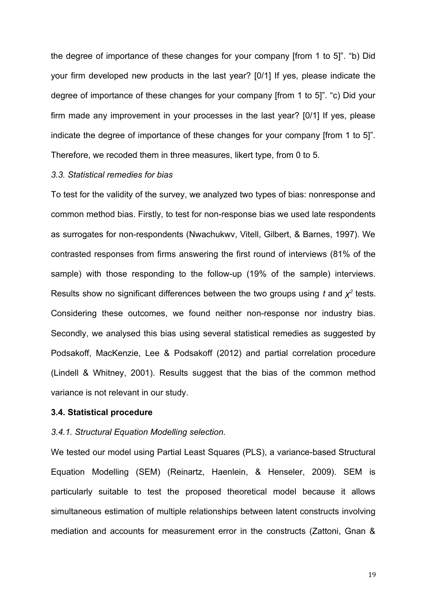the degree of importance of these changes for your company [from 1 to 5]". "b) Did your firm developed new products in the last year? [0/1] If yes, please indicate the degree of importance of these changes for your company [from 1 to 5]". "c) Did your firm made any improvement in your processes in the last year? [0/1] If yes, please indicate the degree of importance of these changes for your company [from 1 to 5]". Therefore, we recoded them in three measures, likert type, from 0 to 5.

#### *3.3. Statistical remedies for bias*

To test for the validity of the survey, we analyzed two types of bias: nonresponse and common method bias. Firstly, to test for non-response bias we used late respondents as surrogates for non-respondents (Nwachukwv, Vitell, Gilbert, & Barnes, 1997). We contrasted responses from firms answering the first round of interviews (81% of the sample) with those responding to the follow-up (19% of the sample) interviews. Results show no significant differences between the two groups using  $t$  and  $\chi^2$  tests. Considering these outcomes, we found neither non-response nor industry bias. Secondly, we analysed this bias using several statistical remedies as suggested by Podsakoff, MacKenzie, Lee & Podsakoff (2012) and partial correlation procedure (Lindell & Whitney, 2001). Results suggest that the bias of the common method variance is not relevant in our study.

#### **3.4. Statistical procedure**

#### *3.4.1. Structural Equation Modelling selection.*

We tested our model using Partial Least Squares (PLS), a variance-based Structural Equation Modelling (SEM) (Reinartz, Haenlein, & Henseler, 2009). SEM is particularly suitable to test the proposed theoretical model because it allows simultaneous estimation of multiple relationships between latent constructs involving mediation and accounts for measurement error in the constructs (Zattoni, Gnan &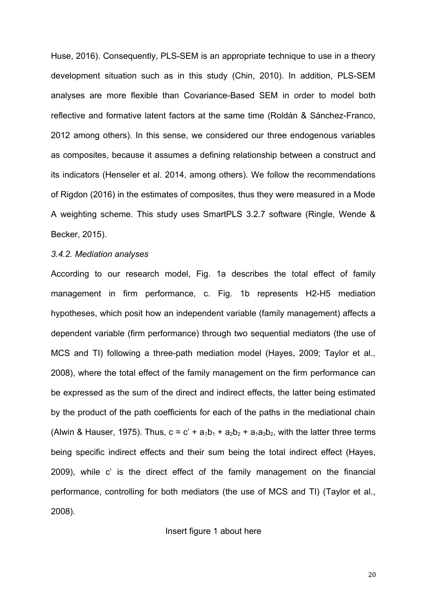Huse, 2016). Consequently, PLS-SEM is an appropriate technique to use in a theory development situation such as in this study (Chin, 2010). In addition, PLS-SEM analyses are more flexible than Covariance-Based SEM in order to model both reflective and formative latent factors at the same time (Roldán & Sánchez-Franco, 2012 among others). In this sense, we considered our three endogenous variables as composites, because it assumes a defining relationship between a construct and its indicators (Henseler et al. 2014, among others). We follow the recommendations of Rigdon (2016) in the estimates of composites, thus they were measured in a Mode A weighting scheme. This study uses SmartPLS 3.2.7 software (Ringle, Wende & Becker, 2015).

#### *3.4.2. Mediation analyses*

According to our research model, Fig. 1a describes the total effect of family management in firm performance, c. Fig. 1b represents H2-H5 mediation hypotheses, which posit how an independent variable (family management) affects a dependent variable (firm performance) through two sequential mediators (the use of MCS and TI) following a three-path mediation model (Hayes, 2009; Taylor et al., 2008), where the total effect of the family management on the firm performance can be expressed as the sum of the direct and indirect effects, the latter being estimated by the product of the path coefficients for each of the paths in the mediational chain (Alwin & Hauser, 1975). Thus,  $c = c' + a_1b_1 + a_2b_2 + a_1a_3b_2$ , with the latter three terms being specific indirect effects and their sum being the total indirect effect (Hayes, 2009), while c' is the direct effect of the family management on the financial performance, controlling for both mediators (the use of MCS and TI) (Taylor et al., 2008).

#### Insert figure 1 about here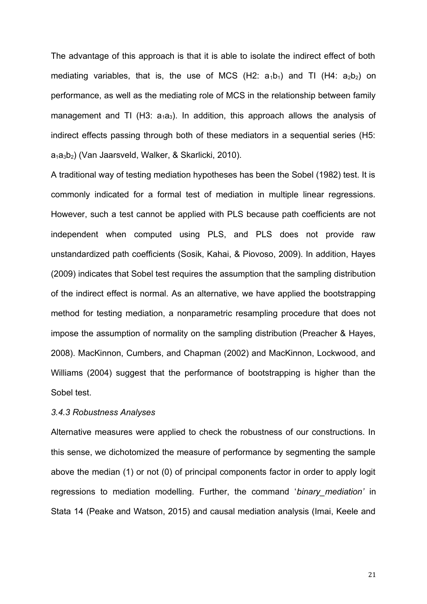The advantage of this approach is that it is able to isolate the indirect effect of both mediating variables, that is, the use of MCS (H2:  $a_1b_1$ ) and TI (H4:  $a_2b_2$ ) on performance, as well as the mediating role of MCS in the relationship between family management and TI (H3:  $a_1a_3$ ). In addition, this approach allows the analysis of indirect effects passing through both of these mediators in a sequential series (H5: a1a3b2) (Van Jaarsveld, Walker, & Skarlicki, 2010).

A traditional way of testing mediation hypotheses has been the Sobel (1982) test. It is commonly indicated for a formal test of mediation in multiple linear regressions. However, such a test cannot be applied with PLS because path coefficients are not independent when computed using PLS, and PLS does not provide raw unstandardized path coefficients (Sosik, Kahai, & Piovoso, 2009). In addition, Hayes (2009) indicates that Sobel test requires the assumption that the sampling distribution of the indirect effect is normal. As an alternative, we have applied the bootstrapping method for testing mediation, a nonparametric resampling procedure that does not impose the assumption of normality on the sampling distribution (Preacher & Hayes, 2008). MacKinnon, Cumbers, and Chapman (2002) and MacKinnon, Lockwood, and Williams (2004) suggest that the performance of bootstrapping is higher than the Sobel test.

# *3.4.3 Robustness Analyses*

Alternative measures were applied to check the robustness of our constructions. In this sense, we dichotomized the measure of performance by segmenting the sample above the median (1) or not (0) of principal components factor in order to apply logit regressions to mediation modelling. Further, the command '*binary\_mediation'* in Stata 14 (Peake and Watson, 2015) and causal mediation analysis (Imai, Keele and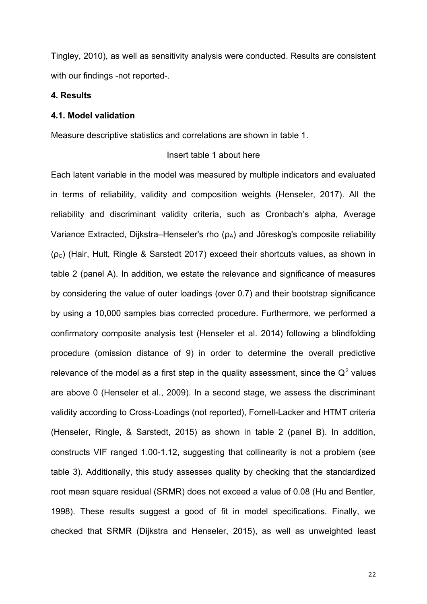Tingley, 2010), as well as sensitivity analysis were conducted. Results are consistent with our findings -not reported-.

#### **4. Results**

#### **4.1. Model validation**

Measure descriptive statistics and correlations are shown in table 1.

# Insert table 1 about here

Each latent variable in the model was measured by multiple indicators and evaluated in terms of reliability, validity and composition weights (Henseler, 2017). All the reliability and discriminant validity criteria, such as Cronbach's alpha, Average Variance Extracted, Dijkstra–Henseler's rho  $(\rho_A)$  and Jöreskog's composite reliability  $(p_c)$  (Hair, Hult, Ringle & Sarstedt 2017) exceed their shortcuts values, as shown in table 2 (panel A). In addition, we estate the relevance and significance of measures by considering the value of outer loadings (over 0.7) and their bootstrap significance by using a 10,000 samples bias corrected procedure. Furthermore, we performed a confirmatory composite analysis test (Henseler et al. 2014) following a blindfolding procedure (omission distance of 9) in order to determine the overall predictive relevance of the model as a first step in the quality assessment, since the  $Q^2$  values are above 0 (Henseler et al., 2009). In a second stage, we assess the discriminant validity according to Cross-Loadings (not reported), Fornell-Lacker and HTMT criteria (Henseler, Ringle, & Sarstedt, 2015) as shown in table 2 (panel B). In addition, constructs VIF ranged 1.00-1.12, suggesting that collinearity is not a problem (see table 3). Additionally, this study assesses quality by checking that the standardized root mean square residual (SRMR) does not exceed a value of 0.08 (Hu and Bentler, 1998). These results suggest a good of fit in model specifications. Finally, we checked that SRMR (Dijkstra and Henseler, 2015), as well as unweighted least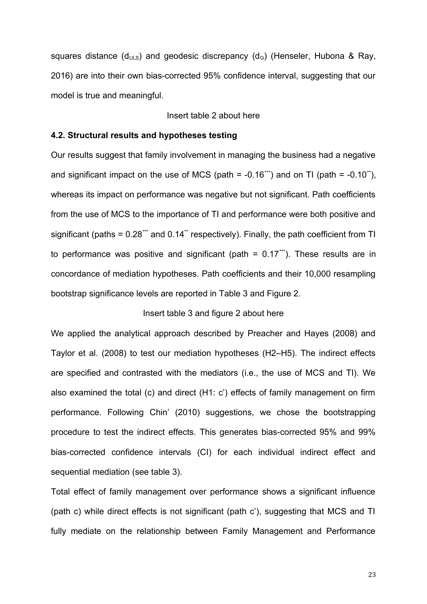squares distance ( $d_{ULS}$ ) and geodesic discrepancy ( $d_G$ ) (Henseler, Hubona & Ray, 2016) are into their own bias-corrected 95% confidence interval, suggesting that our model is true and meaningful.

# Insert table 2 about here

# **4.2. Structural results and hypotheses testing**

Our results suggest that family involvement in managing the business had a negative and significant impact on the use of MCS (path  $= -0.16$ \*\*) and on TI (path  $= -0.10$ \*), whereas its impact on performance was negative but not significant. Path coefficients from the use of MCS to the importance of TI and performance were both positive and significant (paths =  $0.28$ \*\*\* and  $0.14$ \*\* respectively). Finally, the path coefficient from TI to performance was positive and significant (path =  $0.17$ <sup>\*\*\*</sup>). These results are in concordance of mediation hypotheses. Path coefficients and their 10,000 resampling bootstrap significance levels are reported in Table 3 and Figure 2.

# Insert table 3 and figure 2 about here

We applied the analytical approach described by Preacher and Hayes (2008) and Taylor et al. (2008) to test our mediation hypotheses (H2–H5). The indirect effects are specified and contrasted with the mediators (i.e., the use of MCS and TI). We also examined the total (c) and direct (H1: c') effects of family management on firm performance. Following Chin' (2010) suggestions, we chose the bootstrapping procedure to test the indirect effects. This generates bias-corrected 95% and 99% bias-corrected confidence intervals (CI) for each individual indirect effect and sequential mediation (see table 3).

Total effect of family management over performance shows a significant influence (path c) while direct effects is not significant (path c'), suggesting that MCS and TI fully mediate on the relationship between Family Management and Performance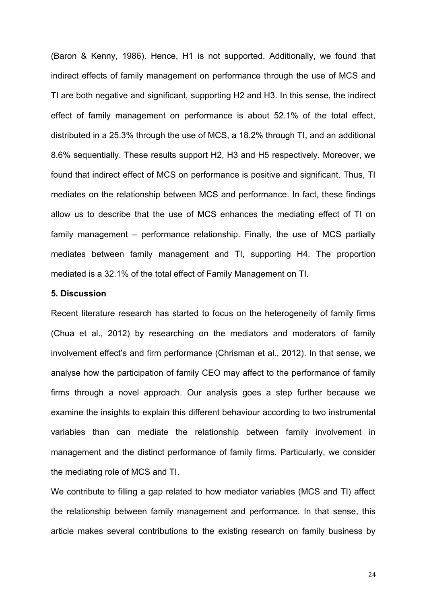(Baron & Kenny, 1986). Hence, H1 is not supported. Additionally, we found that indirect effects of family management on performance through the use of MCS and TI are both negative and significant, supporting H2 and H3. In this sense, the indirect effect of family management on performance is about 52.1% of the total effect, distributed in a 25.3% through the use of MCS, a 18.2% through TI, and an additional 8.6% sequentially. These results support H2, H3 and H5 respectively. Moreover, we found that indirect effect of MCS on performance is positive and significant. Thus, TI mediates on the relationship between MCS and performance. In fact, these findings allow us to describe that the use of MCS enhances the mediating effect of TI on family management – performance relationship. Finally, the use of MCS partially mediates between family management and TI, supporting H4. The proportion mediated is a 32.1% of the total effect of Family Management on TI.

# **5. Discussion**

Recent literature research has started to focus on the heterogeneity of family firms (Chua et al., 2012) by researching on the mediators and moderators of family involvement effect's and firm performance (Chrisman et al., 2012). In that sense, we analyse how the participation of family CEO may affect to the performance of family firms through a novel approach. Our analysis goes a step further because we examine the insights to explain this different behaviour according to two instrumental variables than can mediate the relationship between family involvement in management and the distinct performance of family firms. Particularly, we consider the mediating role of MCS and TI.

We contribute to filling a gap related to how mediator variables (MCS and TI) affect the relationship between family management and performance. In that sense, this article makes several contributions to the existing research on family business by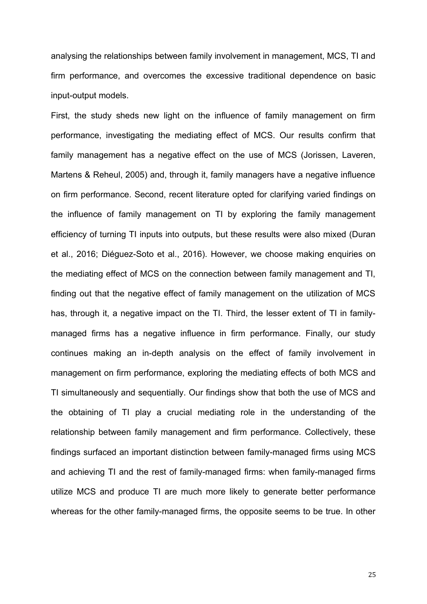analysing the relationships between family involvement in management, MCS, TI and firm performance, and overcomes the excessive traditional dependence on basic input-output models.

First, the study sheds new light on the influence of family management on firm performance, investigating the mediating effect of MCS. Our results confirm that family management has a negative effect on the use of MCS (Jorissen, Laveren, Martens & Reheul, 2005) and, through it, family managers have a negative influence on firm performance. Second, recent literature opted for clarifying varied findings on the influence of family management on TI by exploring the family management efficiency of turning TI inputs into outputs, but these results were also mixed (Duran et al., 2016; Diéguez-Soto et al., 2016). However, we choose making enquiries on the mediating effect of MCS on the connection between family management and TI, finding out that the negative effect of family management on the utilization of MCS has, through it, a negative impact on the TI. Third, the lesser extent of TI in familymanaged firms has a negative influence in firm performance. Finally, our study continues making an in-depth analysis on the effect of family involvement in management on firm performance, exploring the mediating effects of both MCS and TI simultaneously and sequentially. Our findings show that both the use of MCS and the obtaining of TI play a crucial mediating role in the understanding of the relationship between family management and firm performance. Collectively, these findings surfaced an important distinction between family-managed firms using MCS and achieving TI and the rest of family-managed firms: when family-managed firms utilize MCS and produce TI are much more likely to generate better performance whereas for the other family-managed firms, the opposite seems to be true. In other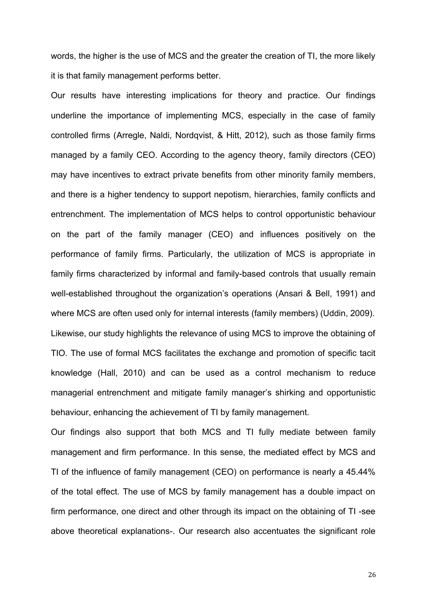words, the higher is the use of MCS and the greater the creation of TI, the more likely it is that family management performs better.

Our results have interesting implications for theory and practice. Our findings underline the importance of implementing MCS, especially in the case of family controlled firms (Arregle, Naldi, Nordqvist, & Hitt, 2012), such as those family firms managed by a family CEO. According to the agency theory, family directors (CEO) may have incentives to extract private benefits from other minority family members, and there is a higher tendency to support nepotism, hierarchies, family conflicts and entrenchment. The implementation of MCS helps to control opportunistic behaviour on the part of the family manager (CEO) and influences positively on the performance of family firms. Particularly, the utilization of MCS is appropriate in family firms characterized by informal and family-based controls that usually remain well-established throughout the organization's operations (Ansari & Bell, 1991) and where MCS are often used only for internal interests (family members) (Uddin, 2009). Likewise, our study highlights the relevance of using MCS to improve the obtaining of TIO. The use of formal MCS facilitates the exchange and promotion of specific tacit knowledge (Hall, 2010) and can be used as a control mechanism to reduce managerial entrenchment and mitigate family manager's shirking and opportunistic behaviour, enhancing the achievement of TI by family management.

Our findings also support that both MCS and TI fully mediate between family management and firm performance. In this sense, the mediated effect by MCS and TI of the influence of family management (CEO) on performance is nearly a 45.44% of the total effect. The use of MCS by family management has a double impact on firm performance, one direct and other through its impact on the obtaining of TI -see above theoretical explanations-. Our research also accentuates the significant role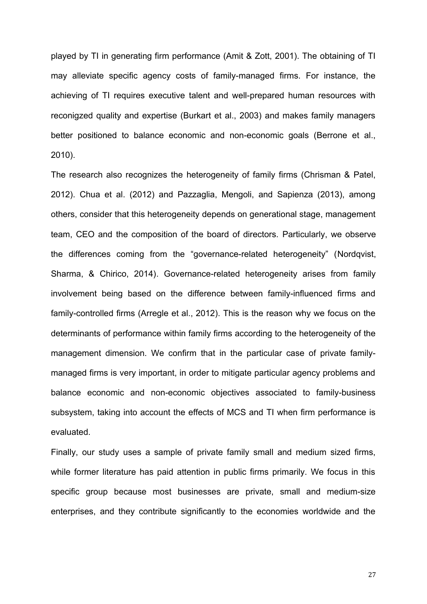played by TI in generating firm performance (Amit & Zott, 2001). The obtaining of TI may alleviate specific agency costs of family-managed firms. For instance, the achieving of TI requires executive talent and well-prepared human resources with reconigzed quality and expertise (Burkart et al., 2003) and makes family managers better positioned to balance economic and non-economic goals (Berrone et al., 2010).

The research also recognizes the heterogeneity of family firms (Chrisman & Patel, 2012). Chua et al. (2012) and Pazzaglia, Mengoli, and Sapienza (2013), among others, consider that this heterogeneity depends on generational stage, management team, CEO and the composition of the board of directors. Particularly, we observe the differences coming from the "governance-related heterogeneity" (Nordqvist, Sharma, & Chirico, 2014). Governance-related heterogeneity arises from family involvement being based on the difference between family-influenced firms and family-controlled firms (Arregle et al., 2012). This is the reason why we focus on the determinants of performance within family firms according to the heterogeneity of the management dimension. We confirm that in the particular case of private familymanaged firms is very important, in order to mitigate particular agency problems and balance economic and non-economic objectives associated to family-business subsystem, taking into account the effects of MCS and TI when firm performance is evaluated.

Finally, our study uses a sample of private family small and medium sized firms, while former literature has paid attention in public firms primarily. We focus in this specific group because most businesses are private, small and medium-size enterprises, and they contribute significantly to the economies worldwide and the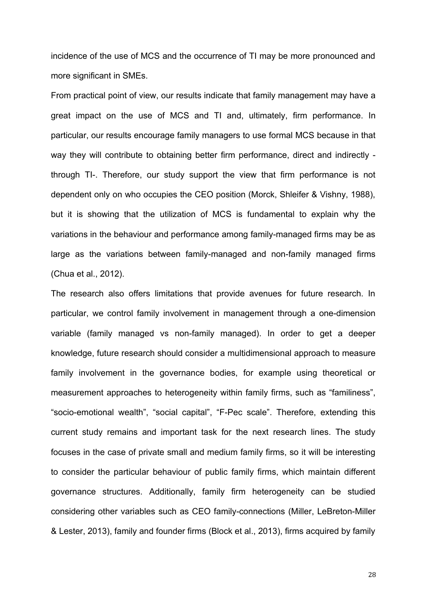incidence of the use of MCS and the occurrence of TI may be more pronounced and more significant in SMEs.

From practical point of view, our results indicate that family management may have a great impact on the use of MCS and TI and, ultimately, firm performance. In particular, our results encourage family managers to use formal MCS because in that way they will contribute to obtaining better firm performance, direct and indirectly through TI-. Therefore, our study support the view that firm performance is not dependent only on who occupies the CEO position (Morck, Shleifer & Vishny, 1988), but it is showing that the utilization of MCS is fundamental to explain why the variations in the behaviour and performance among family-managed firms may be as large as the variations between family-managed and non-family managed firms (Chua et al., 2012).

The research also offers limitations that provide avenues for future research. In particular, we control family involvement in management through a one-dimension variable (family managed vs non-family managed). In order to get a deeper knowledge, future research should consider a multidimensional approach to measure family involvement in the governance bodies, for example using theoretical or measurement approaches to heterogeneity within family firms, such as "familiness", "socio-emotional wealth", "social capital", "F-Pec scale". Therefore, extending this current study remains and important task for the next research lines. The study focuses in the case of private small and medium family firms, so it will be interesting to consider the particular behaviour of public family firms, which maintain different governance structures. Additionally, family firm heterogeneity can be studied considering other variables such as CEO family-connections (Miller, LeBreton-Miller & Lester, 2013), family and founder firms (Block et al., 2013), firms acquired by family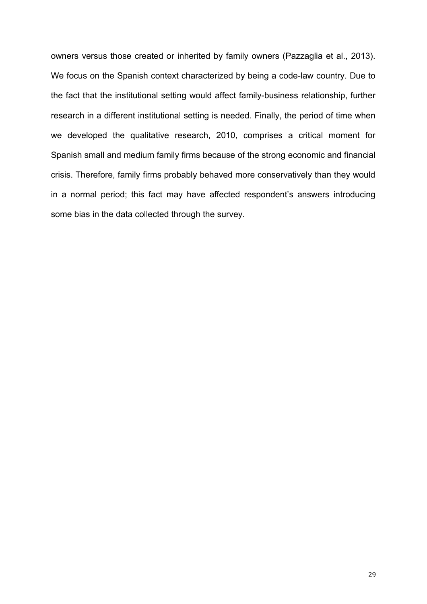owners versus those created or inherited by family owners (Pazzaglia et al., 2013). We focus on the Spanish context characterized by being a code-law country. Due to the fact that the institutional setting would affect family-business relationship, further research in a different institutional setting is needed. Finally, the period of time when we developed the qualitative research, 2010, comprises a critical moment for Spanish small and medium family firms because of the strong economic and financial crisis. Therefore, family firms probably behaved more conservatively than they would in a normal period; this fact may have affected respondent's answers introducing some bias in the data collected through the survey.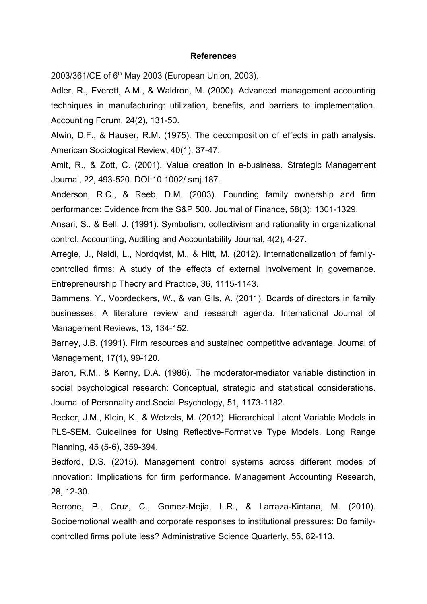#### **References**

2003/361/CE of 6<sup>th</sup> May 2003 (European Union, 2003).

Adler, R., Everett, A.M., & Waldron, M. (2000). Advanced management accounting techniques in manufacturing: utilization, benefits, and barriers to implementation. Accounting Forum, 24(2), 131-50.

Alwin, D.F., & Hauser, R.M. (1975). The decomposition of effects in path analysis. American Sociological Review, 40(1), 37-47.

Amit, R., & Zott, C. (2001). Value creation in e-business. Strategic Management Journal, 22, 493-520. DOI:10.1002/ smj.187.

Anderson, R.C., & Reeb, D.M. (2003). Founding family ownership and firm performance: Evidence from the S&P 500. Journal of Finance, 58(3): 1301-1329.

Ansari, S., & Bell, J. (1991). Symbolism, collectivism and rationality in organizational control. Accounting, Auditing and Accountability Journal, 4(2), 4-27.

Arregle, J., Naldi, L., Nordqvist, M., & Hitt, M. (2012). Internationalization of familycontrolled firms: A study of the effects of external involvement in governance. Entrepreneurship Theory and Practice, 36, 1115-1143.

Bammens, Y., Voordeckers, W., & van Gils, A. (2011). Boards of directors in family businesses: A literature review and research agenda. International Journal of Management Reviews, 13, 134-152.

Barney, J.B. (1991). Firm resources and sustained competitive advantage. Journal of Management, 17(1), 99-120.

Baron, R.M., & Kenny, D.A. (1986). The moderator-mediator variable distinction in social psychological research: Conceptual, strategic and statistical considerations. Journal of Personality and Social Psychology, 51, 1173-1182.

Becker, J.M., Klein, K., & Wetzels, M. (2012). Hierarchical Latent Variable Models in PLS-SEM. Guidelines for Using Reflective-Formative Type Models. Long Range Planning, 45 (5-6), 359-394.

Bedford, D.S. (2015). Management control systems across different modes of innovation: Implications for firm performance. Management Accounting Research, 28, 12-30.

Berrone, P., Cruz, C., Gomez-Mejia, L.R., & Larraza-Kintana, M. (2010). Socioemotional wealth and corporate responses to institutional pressures: Do familycontrolled firms pollute less? Administrative Science Quarterly, 55, 82-113.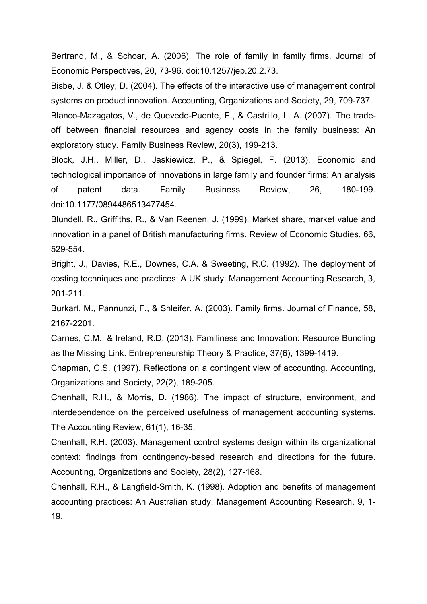Bertrand, M., & Schoar, A. (2006). The role of family in family firms. Journal of Economic Perspectives, 20, 73-96. doi:10.1257/jep.20.2.73.

Bisbe, J. & Otley, D. (2004). The effects of the interactive use of management control systems on product innovation. Accounting, Organizations and Society, 29, 709-737. Blanco-Mazagatos, V., de Quevedo-Puente, E., & Castrillo, L. A. (2007). The tradeoff between financial resources and agency costs in the family business: An exploratory study. Family Business Review, 20(3), 199-213.

Block, J.H., Miller, D., Jaskiewicz, P., & Spiegel, F. (2013). Economic and technological importance of innovations in large family and founder firms: An analysis of patent data. Family Business Review, 26, 180-199. doi:10.1177/0894486513477454.

Blundell, R., Griffiths, R., & Van Reenen, J. (1999). Market share, market value and innovation in a panel of British manufacturing firms. Review of Economic Studies, 66, 529-554.

Bright, J., Davies, R.E., Downes, C.A. & Sweeting, R.C. (1992). The deployment of costing techniques and practices: A UK study. Management Accounting Research, 3, 201-211.

Burkart, M., Pannunzi, F., & Shleifer, A. (2003). Family firms. Journal of Finance, 58, 2167-2201.

Carnes, C.M., & Ireland, R.D. (2013). Familiness and Innovation: Resource Bundling as the Missing Link. Entrepreneurship Theory & Practice, 37(6), 1399-1419.

Chapman, C.S. (1997). Reflections on a contingent view of accounting. Accounting, Organizations and Society, 22(2), 189-205.

Chenhall, R.H., & Morris, D. (1986). The impact of structure, environment, and interdependence on the perceived usefulness of management accounting systems. The Accounting Review, 61(1), 16-35.

Chenhall, R.H. (2003). Management control systems design within its organizational context: findings from contingency-based research and directions for the future. Accounting, Organizations and Society, 28(2), 127-168.

Chenhall, R.H., & Langfield-Smith, K. (1998). Adoption and benefits of management accounting practices: An Australian study. Management Accounting Research, 9, 1- 19.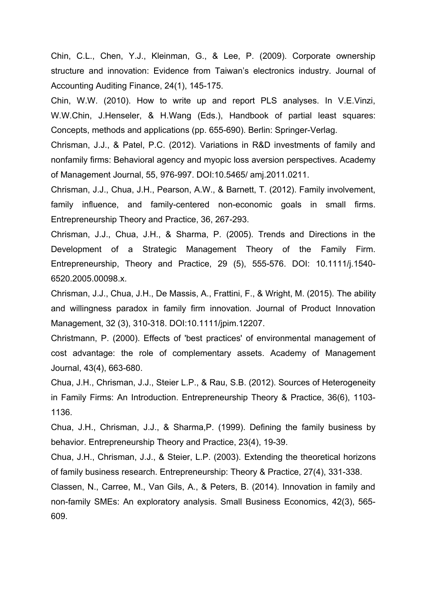Chin, C.L., Chen, Y.J., Kleinman, G., & Lee, P. (2009). Corporate ownership structure and innovation: Evidence from Taiwan's electronics industry. Journal of Accounting Auditing Finance, 24(1), 145-175.

Chin, W.W. (2010). How to write up and report PLS analyses. In V.E.Vinzi, W.W.Chin, J.Henseler, & H.Wang (Eds.), Handbook of partial least squares: Concepts, methods and applications (pp. 655-690). Berlin: Springer-Verlag.

Chrisman, J.J., & Patel, P.C. (2012). Variations in R&D investments of family and nonfamily firms: Behavioral agency and myopic loss aversion perspectives. Academy of Management Journal, 55, 976-997. DOI:10.5465/ amj.2011.0211.

Chrisman, J.J., Chua, J.H., Pearson, A.W., & Barnett, T. (2012). Family involvement, family influence, and family-centered non-economic goals in small firms. Entrepreneurship Theory and Practice, 36, 267-293.

Chrisman, J.J., Chua, J.H., & Sharma, P. (2005). Trends and Directions in the Development of a Strategic Management Theory of the Family Firm. Entrepreneurship, Theory and Practice, 29 (5), 555-576. DOI: 10.1111/j.1540- 6520.2005.00098.x.

Chrisman, J.J., Chua, J.H., De Massis, A., Frattini, F., & Wright, M. (2015). The ability and willingness paradox in family firm innovation. Journal of Product Innovation Management, 32 (3), 310-318. DOI:10.1111/jpim.12207.

Christmann, P. (2000). Effects of 'best practices' of environmental management of cost advantage: the role of complementary assets. Academy of Management Journal, 43(4), 663-680.

Chua, J.H., Chrisman, J.J., Steier L.P., & Rau, S.B. (2012). Sources of Heterogeneity in Family Firms: An Introduction. Entrepreneurship Theory & Practice, 36(6), 1103- 1136.

Chua, J.H., Chrisman, J.J., & Sharma,P. (1999). Defining the family business by behavior. Entrepreneurship Theory and Practice, 23(4), 19-39.

Chua, J.H., Chrisman, J.J., & Steier, L.P. (2003). Extending the theoretical horizons of family business research. Entrepreneurship: Theory & Practice, 27(4), 331-338.

Classen, N., Carree, M., Van Gils, A., & Peters, B. (2014). Innovation in family and non-family SMEs: An exploratory analysis. Small Business Economics, 42(3), 565- 609.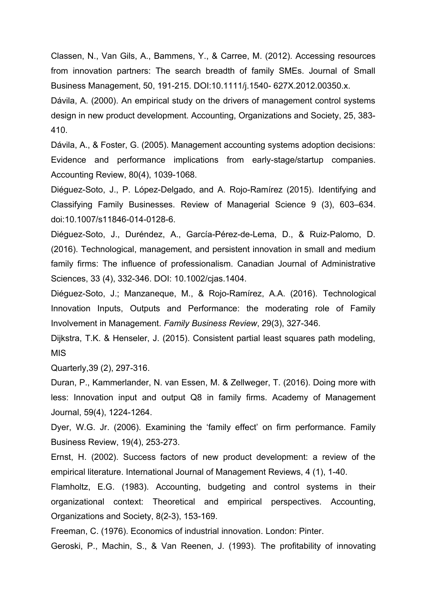Classen, N., Van Gils, A., Bammens, Y., & Carree, M. (2012). Accessing resources from innovation partners: The search breadth of family SMEs. Journal of Small Business Management, 50, 191-215. DOI:10.1111/j.1540- 627X.2012.00350.x.

Dávila, A. (2000). An empirical study on the drivers of management control systems design in new product development. Accounting, Organizations and Society, 25, 383- 410.

Dávila, A., & Foster, G. (2005). Management accounting systems adoption decisions: Evidence and performance implications from early-stage/startup companies. Accounting Review, 80(4), 1039-1068.

Diéguez-Soto, J., P. López-Delgado, and A. Rojo-Ramírez (2015). Identifying and Classifying Family Businesses. Review of Managerial Science 9 (3), 603–634. doi:10.1007/s11846-014-0128-6.

Diéguez-Soto, J., Duréndez, A., García-Pérez-de-Lema, D., & Ruiz-Palomo, D. (2016). Technological, management, and persistent innovation in small and medium family firms: The influence of professionalism. Canadian Journal of Administrative Sciences, 33 (4), 332-346. DOI: 10.1002/cjas.1404.

Diéguez-Soto, J.; Manzaneque, M., & Rojo-Ramírez, A.A. (2016). Technological Innovation Inputs, Outputs and Performance: the moderating role of Family Involvement in Management. *Family Business Review*, 29(3), 327-346.

Dijkstra, T.K. & Henseler, J. (2015). Consistent partial least squares path modeling, MIS

Quarterly,39 (2), 297-316.

Duran, P., Kammerlander, N. van Essen, M. & Zellweger, T. (2016). Doing more with less: Innovation input and output Q8 in family firms. Academy of Management Journal, 59(4), 1224-1264.

Dyer, W.G. Jr. (2006). Examining the 'family effect' on firm performance. Family Business Review, 19(4), 253-273.

Ernst, H. (2002). Success factors of new product development: a review of the empirical literature. International Journal of Management Reviews, 4 (1), 1-40.

Flamholtz, E.G. (1983). Accounting, budgeting and control systems in their organizational context: Theoretical and empirical perspectives. Accounting, Organizations and Society, 8(2-3), 153-169.

Freeman, C. (1976). Economics of industrial innovation. London: Pinter.

Geroski, P., Machin, S., & Van Reenen, J. (1993). The profitability of innovating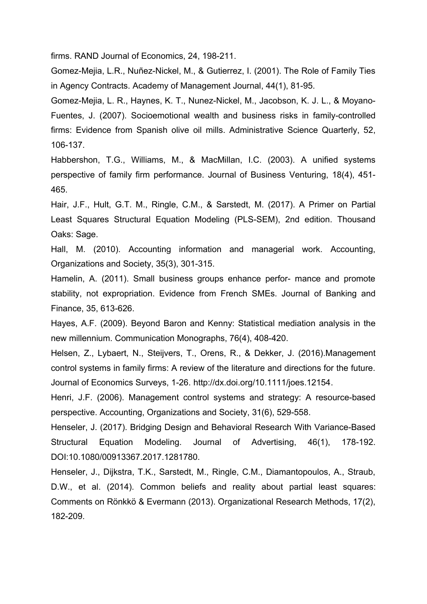firms. RAND Journal of Economics, 24, 198-211.

Gomez-Mejia, L.R., Nuñez-Nickel, M., & Gutierrez, I. (2001). The Role of Family Ties in Agency Contracts. Academy of Management Journal, 44(1), 81-95.

Gomez-Mejia, L. R., Haynes, K. T., Nunez-Nickel, M., Jacobson, K. J. L., & Moyano-Fuentes, J. (2007). Socioemotional wealth and business risks in family-controlled firms: Evidence from Spanish olive oil mills. Administrative Science Quarterly, 52, 106-137.

Habbershon, T.G., Williams, M., & MacMillan, I.C. (2003). A unified systems perspective of family firm performance. Journal of Business Venturing, 18(4), 451- 465.

Hair, J.F., Hult, G.T. M., Ringle, C.M., & Sarstedt, M. (2017). A Primer on Partial Least Squares Structural Equation Modeling (PLS-SEM), 2nd edition. Thousand Oaks: Sage.

Hall, M. (2010). Accounting information and managerial work. Accounting, Organizations and Society, 35(3), 301-315.

Hamelin, A. (2011). Small business groups enhance perfor- mance and promote stability, not expropriation. Evidence from French SMEs. Journal of Banking and Finance, 35, 613-626.

Hayes, A.F. (2009). Beyond Baron and Kenny: Statistical mediation analysis in the new millennium. Communication Monographs, 76(4), 408-420.

Helsen, Z., Lybaert, N., Steijvers, T., Orens, R., & Dekker, J. (2016).Management control systems in family firms: A review of the literature and directions for the future. Journal of Economics Surveys, 1-26. [http://dx.doi.org/10.1111/joes.12154.](http://dx.doi.org/10.1111/joes.12154)

Henri, J.F. (2006). Management control systems and strategy: A resource-based perspective. Accounting, Organizations and Society, 31(6), 529-558.

Henseler, J. (2017). Bridging Design and Behavioral Research With Variance-Based Structural Equation Modeling. Journal of Advertising, 46(1), 178-192. DOI:10.1080/00913367.2017.1281780.

Henseler, J., Dijkstra, T.K., Sarstedt, M., Ringle, C.M., Diamantopoulos, A., Straub, D.W., et al. (2014). Common beliefs and reality about partial least squares: Comments on Rönkkö & Evermann (2013). Organizational Research Methods, 17(2), 182-209.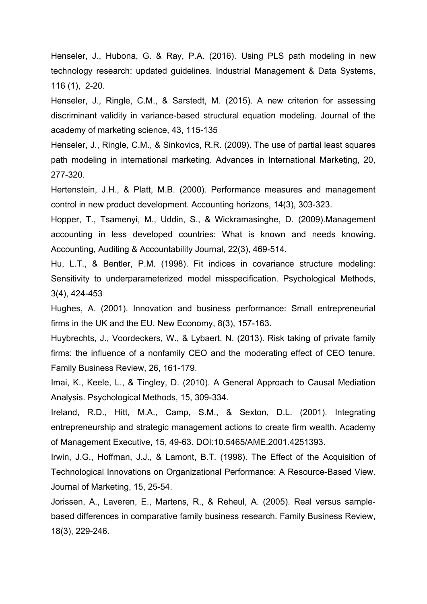Henseler, J., Hubona, G. & Ray, P.A. (2016). Using PLS path modeling in new technology research: updated guidelines. Industrial Management & Data Systems, 116 (1), 2-20.

Henseler, J., Ringle, C.M., & Sarstedt, M. (2015). A new criterion for assessing discriminant validity in variance-based structural equation modeling. Journal of the academy of marketing science, 43, 115-135

Henseler, J., Ringle, C.M., & Sinkovics, R.R. (2009). The use of partial least squares path modeling in international marketing. Advances in International Marketing, 20, 277-320.

Hertenstein, J.H., & Platt, M.B. (2000). Performance measures and management control in new product development. Accounting horizons, 14(3), 303-323.

Hopper, T., Tsamenyi, M., Uddin, S., & Wickramasinghe, D. (2009).Management accounting in less developed countries: What is known and needs knowing. Accounting, Auditing & Accountability Journal, 22(3), 469-514.

Hu, L.T., & Bentler, P.M. (1998). Fit indices in covariance structure modeling: Sensitivity to underparameterized model misspecification. Psychological Methods, 3(4), 424-453

Hughes, A. (2001). Innovation and business performance: Small entrepreneurial firms in the UK and the EU. New Economy, 8(3), 157-163.

Huybrechts, J., Voordeckers, W., & Lybaert, N. (2013). Risk taking of private family firms: the influence of a nonfamily CEO and the moderating effect of CEO tenure. Family Business Review, 26, 161-179.

Imai, K., Keele, L., & Tingley, D. (2010). A General Approach to Causal Mediation Analysis. Psychological Methods, 15, 309-334.

Ireland, R.D., Hitt, M.A., Camp, S.M., & Sexton, D.L. (2001). Integrating entrepreneurship and strategic management actions to create firm wealth. Academy of Management Executive, 15, 49-63. DOI:10.5465/AME.2001.4251393.

Irwin, J.G., Hoffman, J.J., & Lamont, B.T. (1998). The Effect of the Acquisition of Technological Innovations on Organizational Performance: A Resource-Based View. Journal of Marketing, 15, 25-54.

Jorissen, A., Laveren, E., Martens, R., & Reheul, A. (2005). Real versus samplebased differences in comparative family business research. Family Business Review, 18(3), 229-246.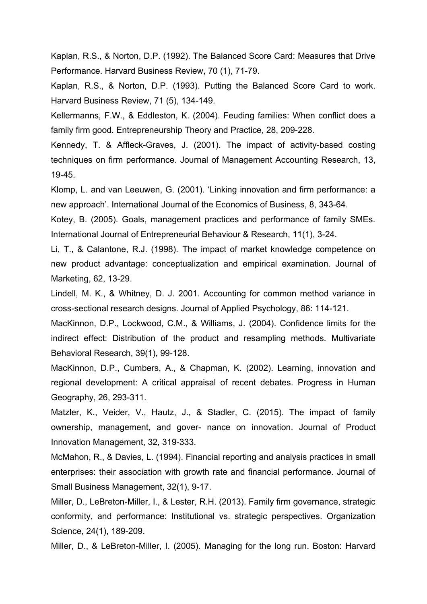Kaplan, R.S., & Norton, D.P. (1992). The Balanced Score Card: Measures that Drive Performance. Harvard Business Review, 70 (1), 71-79.

Kaplan, R.S., & Norton, D.P. (1993). Putting the Balanced Score Card to work. Harvard Business Review, 71 (5), 134-149.

Kellermanns, F.W., & Eddleston, K. (2004). Feuding families: When conflict does a family firm good. Entrepreneurship Theory and Practice, 28, 209-228.

Kennedy, T. & Affleck-Graves, J. (2001). The impact of activity-based costing techniques on firm performance. Journal of Management Accounting Research, 13, 19-45.

Klomp, L. and van Leeuwen, G. (2001). 'Linking innovation and firm performance: a new approach'. International Journal of the Economics of Business, 8, 343-64.

Kotey, B. (2005). Goals, management practices and performance of family SMEs. International Journal of Entrepreneurial Behaviour & Research, 11(1), 3-24.

Li, T., & Calantone, R.J. (1998). The impact of market knowledge competence on new product advantage: conceptualization and empirical examination. Journal of Marketing, 62, 13-29.

Lindell, M. K., & Whitney, D. J. 2001. Accounting for common method variance in cross-sectional research designs. Journal of Applied Psychology, 86: 114-121.

MacKinnon, D.P., Lockwood, C.M., & Williams, J. (2004). Confidence limits for the indirect effect: Distribution of the product and resampling methods. Multivariate Behavioral Research, 39(1), 99-128.

MacKinnon, D.P., Cumbers, A., & Chapman, K. (2002). Learning, innovation and regional development: A critical appraisal of recent debates. Progress in Human Geography, 26, 293-311.

Matzler, K., Veider, V., Hautz, J., & Stadler, C. (2015). The impact of family ownership, management, and gover- nance on innovation. Journal of Product Innovation Management, 32, 319-333.

McMahon, R., & Davies, L. (1994). Financial reporting and analysis practices in small enterprises: their association with growth rate and financial performance. Journal of Small Business Management, 32(1), 9-17.

Miller, D., LeBreton-Miller, I., & Lester, R.H. (2013). Family firm governance, strategic conformity, and performance: Institutional vs. strategic perspectives. Organization Science, 24(1), 189-209.

Miller, D., & LeBreton-Miller, I. (2005). Managing for the long run. Boston: Harvard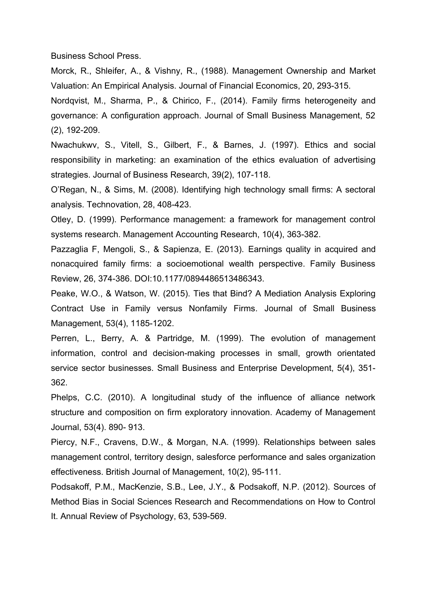Business School Press.

Morck, R., Shleifer, A., & Vishny, R., (1988). Management Ownership and Market Valuation: An Empirical Analysis. Journal of Financial Economics, 20, 293-315.

Nordqvist, M., Sharma, P., & Chirico, F., (2014). Family firms heterogeneity and governance: A configuration approach. Journal of Small Business Management, 52 (2), 192-209.

Nwachukwv, S., Vitell, S., Gilbert, F., & Barnes, J. (1997). Ethics and social responsibility in marketing: an examination of the ethics evaluation of advertising strategies. Journal of Business Research, 39(2), 107-118.

O'Regan, N., & Sims, M. (2008). Identifying high technology small firms: A sectoral analysis. Technovation, 28, 408-423.

Otley, D. (1999). Performance management: a framework for management control systems research. Management Accounting Research, 10(4), 363-382.

Pazzaglia F, Mengoli, S., & Sapienza, E. (2013). Earnings quality in acquired and nonacquired family firms: a socioemotional wealth perspective. Family Business Review, 26, 374-386. DOI:10.1177/0894486513486343.

Peake, W.O., & Watson, W. (2015). Ties that Bind? A Mediation Analysis Exploring Contract Use in Family versus Nonfamily Firms*.* Journal of Small Business Management, 53(4), 1185-1202.

Perren, L., Berry, A. & Partridge, M. (1999). The evolution of management information, control and decision-making processes in small, growth orientated service sector businesses. Small Business and Enterprise Development, 5(4), 351- 362.

Phelps, C.C. (2010). A longitudinal study of the influence of alliance network structure and composition on firm exploratory innovation. Academy of Management Journal, 53(4). 890- 913.

Piercy, N.F., Cravens, D.W., & Morgan, N.A. (1999). Relationships between sales management control, territory design, salesforce performance and sales organization effectiveness. British Journal of Management, 10(2), 95-111.

Podsakoff, P.M., MacKenzie, S.B., Lee, J.Y., & Podsakoff, N.P. (2012). Sources of Method Bias in Social Sciences Research and Recommendations on How to Control It. Annual Review of Psychology, 63, 539-569.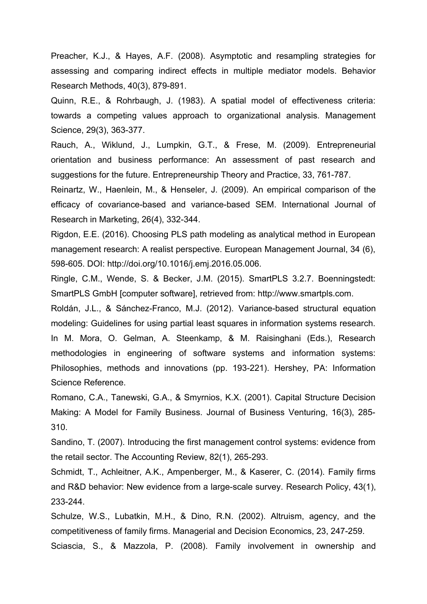Preacher, K.J., & Hayes, A.F. (2008). Asymptotic and resampling strategies for assessing and comparing indirect effects in multiple mediator models. Behavior Research Methods, 40(3), 879-891.

Quinn, R.E., & Rohrbaugh, J. (1983). A spatial model of effectiveness criteria: towards a competing values approach to organizational analysis. Management Science, 29(3), 363-377.

Rauch, A., Wiklund, J., Lumpkin, G.T., & Frese, M. (2009). Entrepreneurial orientation and business performance: An assessment of past research and suggestions for the future. Entrepreneurship Theory and Practice, 33, 761-787.

Reinartz, W., Haenlein, M., & Henseler, J. (2009). An empirical comparison of the efficacy of covariance-based and variance-based SEM. International Journal of Research in Marketing, 26(4), 332-344.

Rigdon, E.E. (2016). Choosing PLS path modeling as analytical method in European management research: A realist perspective. European Management Journal, 34 (6), 598-605. DOI: http://doi.org/10.1016/j.emj.2016.05.006.

Ringle, C.M., Wende, S. & Becker, J.M. (2015). SmartPLS 3.2.7. Boenningstedt: SmartPLS GmbH [computer software], retrieved from: http://www.smartpls.com.

Roldán, J.L., & Sánchez-Franco, M.J. (2012). Variance-based structural equation modeling: Guidelines for using partial least squares in information systems research. In M. Mora, O. Gelman, A. Steenkamp, & M. Raisinghani (Eds.), Research methodologies in engineering of software systems and information systems: Philosophies, methods and innovations (pp. 193-221). Hershey, PA: Information Science Reference.

Romano, C.A., Tanewski, G.A., & Smyrnios, K.X. (2001). Capital Structure Decision Making: A Model for Family Business. Journal of Business Venturing, 16(3), 285- 310.

Sandino, T. (2007). Introducing the first management control systems: evidence from the retail sector. The Accounting Review, 82(1), 265-293.

Schmidt, T., Achleitner, A.K., Ampenberger, M., & Kaserer, C. (2014). Family firms and R&D behavior: New evidence from a large-scale survey. Research Policy, 43(1), 233-244.

Schulze, W.S., Lubatkin, M.H., & Dino, R.N. (2002). Altruism, agency, and the competitiveness of family firms. Managerial and Decision Economics, 23, 247-259.

Sciascia, S., & Mazzola, P. (2008). Family involvement in ownership and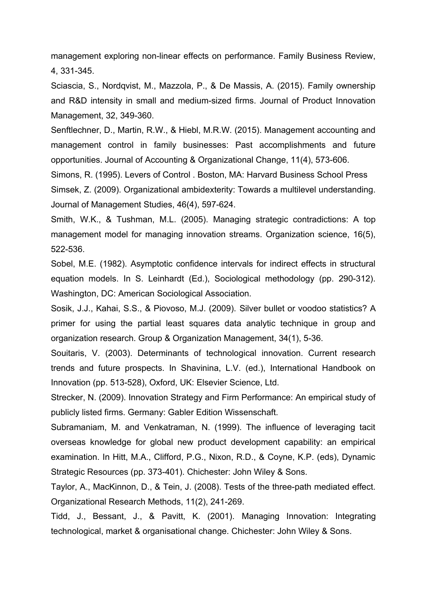management exploring non-linear effects on performance. Family Business Review, 4, 331-345.

Sciascia, S., Nordqvist, M., Mazzola, P., & De Massis, A. (2015). Family ownership and R&D intensity in small and medium-sized firms. Journal of Product Innovation Management, 32, 349-360.

Senftlechner, D., Martin, R.W., & Hiebl, M.R.W. (2015). Management accounting and management control in family businesses: Past accomplishments and future opportunities. Journal of Accounting & Organizational Change, 11(4), 573-606.

Simons, R. (1995). Levers of Control . Boston, MA: Harvard Business School Press Simsek, Z. (2009). Organizational ambidexterity: Towards a multilevel understanding. Journal of Management Studies, 46(4), 597-624.

Smith, W.K., & Tushman, M.L. (2005). Managing strategic contradictions: A top management model for managing innovation streams. Organization science, 16(5), 522-536.

Sobel, M.E. (1982). Asymptotic confidence intervals for indirect effects in structural equation models. In S. Leinhardt (Ed.), Sociological methodology (pp. 290-312). Washington, DC: American Sociological Association.

Sosik, J.J., Kahai, S.S., & Piovoso, M.J. (2009). Silver bullet or voodoo statistics? A primer for using the partial least squares data analytic technique in group and organization research. Group & Organization Management, 34(1), 5-36.

Souitaris, V. (2003). Determinants of technological innovation. Current research trends and future prospects. In Shavinina, L.V. (ed.), International Handbook on Innovation (pp. 513-528), Oxford, UK: Elsevier Science, Ltd.

Strecker, N. (2009). Innovation Strategy and Firm Performance: An empirical study of publicly listed firms. Germany: Gabler Edition Wissenschaft.

Subramaniam, M. and Venkatraman, N. (1999). The influence of leveraging tacit overseas knowledge for global new product development capability: an empirical examination. In Hitt, M.A., Clifford, P.G., Nixon, R.D., & Coyne, K.P. (eds), Dynamic Strategic Resources (pp. 373-401). Chichester: John Wiley & Sons.

Taylor, A., MacKinnon, D., & Tein, J. (2008). Tests of the three-path mediated effect. Organizational Research Methods, 11(2), 241-269.

Tidd, J., Bessant, J., & Pavitt, K. (2001). Managing Innovation: Integrating technological, market & organisational change. Chichester: John Wiley & Sons.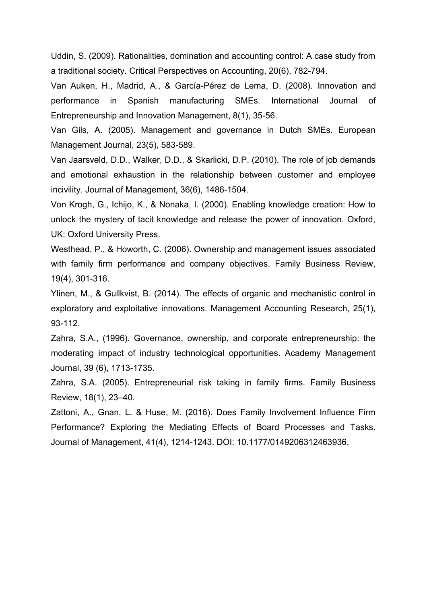Uddin, S. (2009). Rationalities, domination and accounting control: A case study from a traditional society. Critical Perspectives on Accounting, 20(6), 782-794.

Van Auken, H., Madrid, A., & García-Pérez de Lema, D. (2008). Innovation and performance in Spanish manufacturing SMEs. International Journal of Entrepreneurship and Innovation Management, 8(1), 35-56.

Van Gils, A. (2005). Management and governance in Dutch SMEs. European Management Journal, 23(5), 583-589.

Van Jaarsveld, D.D., Walker, D.D., & Skarlicki, D.P. (2010). The role of job demands and emotional exhaustion in the relationship between customer and employee incivility. Journal of Management, 36(6), 1486-1504.

Von Krogh, G., Ichijo, K., & Nonaka, I. (2000). Enabling knowledge creation: How to unlock the mystery of tacit knowledge and release the power of innovation. Oxford, UK: Oxford University Press.

Westhead, P., & Howorth, C. (2006). Ownership and management issues associated with family firm performance and company objectives. Family Business Review, 19(4), 301-316.

Ylinen, M., & Gullkvist, B. (2014). The effects of organic and mechanistic control in exploratory and exploitative innovations. Management Accounting Research, 25(1), 93-112.

Zahra, S.A., (1996). Governance, ownership, and corporate entrepreneurship: the moderating impact of industry technological opportunities. Academy Management Journal, 39 (6), 1713-1735.

Zahra, S.A. (2005). Entrepreneurial risk taking in family firms. Family Business Review, 18(1), 23–40.

Zattoni, A., Gnan, L. & Huse, M. (2016). Does Family Involvement Influence Firm Performance? Exploring the Mediating Effects of Board Processes and Tasks. Journal of Management, 41(4), 1214-1243. DOI: 10.1177/0149206312463936.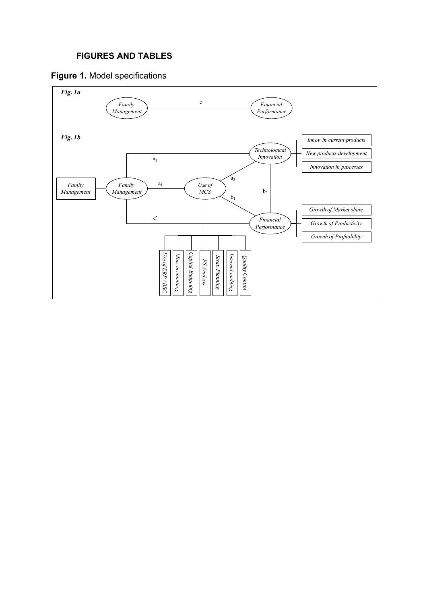# **FIGURES AND TABLES**



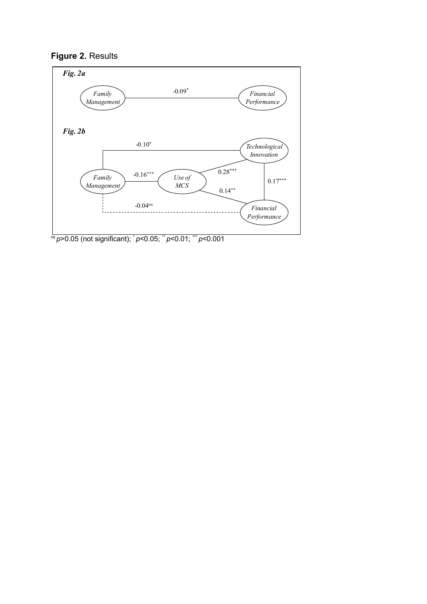



ns*p*>0.05 (not significant); \* *p*<0.05; \*\* *p*<0.01; \*\*\* *p*<0.001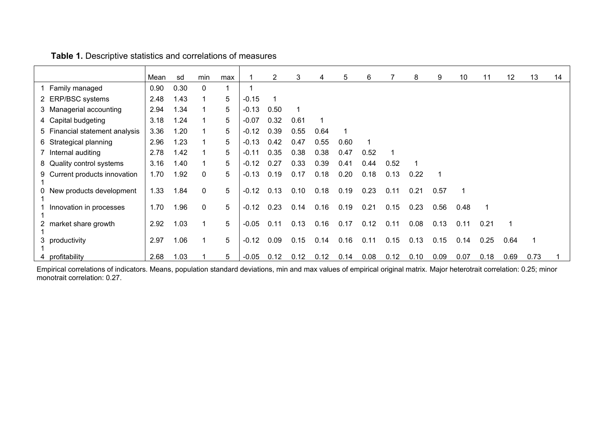|                                  | Mean | sd   | min          | max |         | 2    | 3    | 4    | 5    | 6    |      | 8    | 9    | 10   | 11   | 12   | 13   | 14 |
|----------------------------------|------|------|--------------|-----|---------|------|------|------|------|------|------|------|------|------|------|------|------|----|
| Family managed                   | 0.90 | 0.30 | $\mathbf{0}$ |     |         |      |      |      |      |      |      |      |      |      |      |      |      |    |
| 2 ERP/BSC systems                | 2.48 | 1.43 |              | 5   | $-0.15$ |      |      |      |      |      |      |      |      |      |      |      |      |    |
| 3 Managerial accounting          | 2.94 | 1.34 |              | 5   | $-0.13$ | 0.50 |      |      |      |      |      |      |      |      |      |      |      |    |
| 4 Capital budgeting              | 3.18 | 1.24 |              | 5   | $-0.07$ | 0.32 | 0.61 | 1    |      |      |      |      |      |      |      |      |      |    |
| 5 Financial statement analysis   | 3.36 | 1.20 |              | 5   | $-0.12$ | 0.39 | 0.55 | 0.64 | 1    |      |      |      |      |      |      |      |      |    |
| Strategical planning<br>6.       | 2.96 | 1.23 |              | 5   | $-0.13$ | 0.42 | 0.47 | 0.55 | 0.60 |      |      |      |      |      |      |      |      |    |
| Internal auditing                | 2.78 | 1.42 |              | 5   | $-0.11$ | 0.35 | 0.38 | 0.38 | 0.47 | 0.52 |      |      |      |      |      |      |      |    |
| 8 Quality control systems        | 3.16 | 1.40 |              | 5   | $-0.12$ | 0.27 | 0.33 | 0.39 | 0.41 | 0.44 | 0.52 |      |      |      |      |      |      |    |
| Current products innovation<br>9 | 1.70 | 1.92 | $\mathbf{0}$ | 5   | $-0.13$ | 0.19 | 0.17 | 0.18 | 0.20 | 0.18 | 0.13 | 0.22 |      |      |      |      |      |    |
| New products development         | 1.33 | 1.84 | $\mathbf{0}$ | 5   | $-0.12$ | 0.13 | 0.10 | 0.18 | 0.19 | 0.23 | 0.11 | 0.21 | 0.57 |      |      |      |      |    |
| Innovation in processes          | 1.70 | 1.96 | $\mathbf{0}$ | 5   | $-0.12$ | 0.23 | 0.14 | 0.16 | 0.19 | 0.21 | 0.15 | 0.23 | 0.56 | 0.48 |      |      |      |    |
| market share growth              | 2.92 | 1.03 |              | 5   | $-0.05$ | 0.11 | 0.13 | 0.16 | 0.17 | 0.12 | 0.11 | 0.08 | 0.13 | 0.11 | 0.21 |      |      |    |
| productivity<br>3.               | 2.97 | 1.06 |              | 5   | $-0.12$ | 0.09 | 0.15 | 0.14 | 0.16 | 0.11 | 0.15 | 0.13 | 0.15 | 0.14 | 0.25 | 0.64 |      |    |
| profitability<br>4               | 2.68 | 1.03 |              | 5   | $-0.05$ | 0.12 | 0.12 | 0.12 | 0.14 | 0.08 | 0.12 | 0.10 | 0.09 | 0.07 | 0.18 | 0.69 | 0.73 |    |

# **Table 1.** Descriptive statistics and correlations of measures

Empirical correlations of indicators. Means, population standard deviations, min and max values of empirical original matrix. Major heterotrait correlation: 0.25; minor monotrait correlation: 0.27.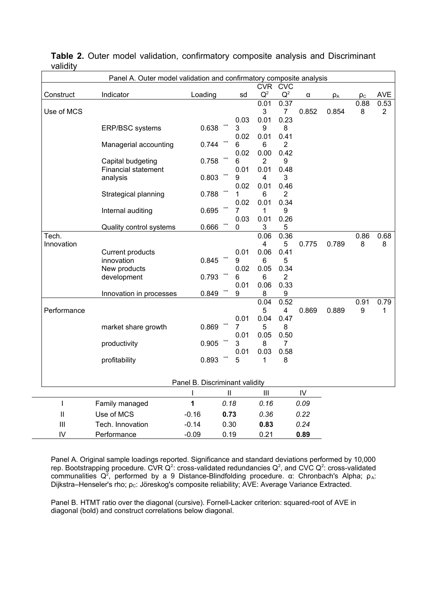| vanart <sub>i</sub>        |                                                                     |                                |               |           |                                    |                |            |          |          |                |
|----------------------------|---------------------------------------------------------------------|--------------------------------|---------------|-----------|------------------------------------|----------------|------------|----------|----------|----------------|
|                            | Panel A. Outer model validation and confirmatory composite analysis |                                |               |           |                                    |                |            |          |          |                |
|                            |                                                                     |                                |               |           | <b>CVR</b>                         | <b>CVC</b>     |            |          |          |                |
| Construct                  | Indicator                                                           | Loading                        |               | sd        | $Q^2$                              | $Q^2$          | α          | $\rho_A$ | $\rho_c$ | <b>AVE</b>     |
|                            |                                                                     |                                |               |           | 0.01                               | 0.37           |            |          | 0.88     | 0.53           |
| Use of MCS                 |                                                                     |                                |               |           | 3                                  | $\overline{7}$ | 0.852      | 0.854    | 8        | $\overline{2}$ |
|                            |                                                                     |                                |               | 0.03      | 0.01                               | 0.23           |            |          |          |                |
|                            | ERP/BSC systems                                                     | 0.638                          |               | 3         | 9                                  | 8              |            |          |          |                |
|                            |                                                                     |                                |               | 0.02      | 0.01                               | 0.41           |            |          |          |                |
|                            | Managerial accounting                                               | 0.744                          |               | 6         | 6                                  | $\overline{2}$ |            |          |          |                |
|                            |                                                                     |                                |               | 0.02      | 0.00                               | 0.42           |            |          |          |                |
|                            | Capital budgeting                                                   | 0.758                          |               | 6<br>0.01 | $\overline{2}$<br>0.01             | 9<br>0.48      |            |          |          |                |
|                            | <b>Financial statement</b>                                          | 0.803                          | ***           |           |                                    | 3              |            |          |          |                |
|                            | analysis                                                            |                                |               | 9<br>0.02 | 4<br>0.01                          | 0.46           |            |          |          |                |
|                            | Strategical planning                                                | 0.788                          |               | 1         | 6                                  | 2              |            |          |          |                |
|                            |                                                                     |                                |               | 0.02      | 0.01                               | 0.34           |            |          |          |                |
|                            | Internal auditing                                                   | 0.695                          |               | 7         | $\mathbf{1}$                       | 9              |            |          |          |                |
|                            |                                                                     |                                |               | 0.03      | 0.01                               | 0.26           |            |          |          |                |
|                            | Quality control systems                                             | 0.666                          |               | 0         | 3                                  | 5              |            |          |          |                |
| Tech.                      |                                                                     |                                |               |           | 0.06                               | 0.36           |            |          | 0.86     | 0.68           |
| Innovation                 |                                                                     |                                |               |           | $\overline{\mathbf{4}}$            | 5              | 0.775      | 0.789    | 8        | 8              |
|                            | <b>Current products</b>                                             |                                |               | 0.01      | 0.06                               | 0.41           |            |          |          |                |
|                            | innovation                                                          | 0.845                          |               | 9         | 6                                  | 5              |            |          |          |                |
|                            | New products                                                        |                                |               | 0.02      | 0.05                               | 0.34           |            |          |          |                |
|                            | development                                                         | 0.793                          |               | 6         | 6                                  | $\overline{2}$ |            |          |          |                |
|                            |                                                                     |                                |               | 0.01      | 0.06                               | 0.33           |            |          |          |                |
|                            | Innovation in processes                                             | 0.849                          |               | 9         | 8                                  | 9              |            |          |          |                |
|                            |                                                                     |                                |               |           | 0.04                               | 0.52           |            |          | 0.91     | 0.79           |
| Performance                |                                                                     |                                |               |           | 5                                  | 4              | 0.869      | 0.889    | 9        | 1              |
|                            |                                                                     |                                |               | 0.01      | 0.04                               | 0.47           |            |          |          |                |
|                            | market share growth                                                 | 0.869                          |               | 7<br>0.01 | 5<br>0.05                          | 8<br>0.50      |            |          |          |                |
|                            | productivity                                                        | 0.905                          |               | 3         | 8                                  | 7              |            |          |          |                |
|                            |                                                                     |                                |               | 0.01      | 0.03                               | 0.58           |            |          |          |                |
|                            | profitability                                                       | 0.893                          |               | 5         | 1                                  | 8              |            |          |          |                |
|                            |                                                                     |                                |               |           |                                    |                |            |          |          |                |
|                            |                                                                     |                                |               |           |                                    |                |            |          |          |                |
|                            |                                                                     | Panel B. Discriminant validity |               |           |                                    |                |            |          |          |                |
|                            |                                                                     | $\mathbf{I}$                   | $\mathsf{II}$ |           | $\ensuremath{\mathsf{III}}\xspace$ |                | ${\sf IV}$ |          |          |                |
| $\overline{\phantom{a}}$   | Family managed                                                      | 1                              | 0.18          |           | 0.16                               |                | 0.09       |          |          |                |
| $\ensuremath{\mathsf{II}}$ | Use of MCS                                                          | $-0.16$                        | 0.73          |           | 0.36                               |                | 0.22       |          |          |                |
| III                        | Tech. Innovation                                                    | $-0.14$                        | 0.30          |           | 0.83                               |                | 0.24       |          |          |                |
| IV                         | Performance                                                         | $-0.09$                        | 0.19          |           | 0.21                               |                | 0.89       |          |          |                |

**Table 2.** Outer model validation, confirmatory composite analysis and Discriminant validity

Panel A. Original sample loadings reported. Significance and standard deviations performed by 10,000 rep. Bootstrapping procedure. CVR Q<sup>2</sup>: cross-validated redundancies Q<sup>2</sup>, and CVC Q<sup>2</sup>: cross-validated communalities  $Q^2$ , performed by a 9 Distance-Blindfolding procedure. α: Chronbach's Alpha;  $ρ_A$ : Dijkstra–Henseler's rho; ρ<sub>c</sub>: Jöreskog's composite reliability; AVE: Average Variance Extracted.

Panel B. HTMT ratio over the diagonal (cursive). Fornell-Lacker criterion: squared-root of AVE in diagonal (bold) and construct correlations below diagonal.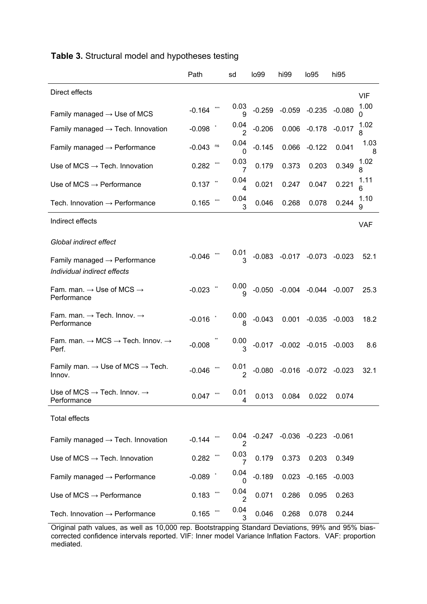|                                                                               | Path           | sd                     | lo99     | hi99                                | lo <sub>95</sub>           | hi95     |            |
|-------------------------------------------------------------------------------|----------------|------------------------|----------|-------------------------------------|----------------------------|----------|------------|
| Direct effects                                                                |                |                        |          |                                     |                            |          | <b>VIF</b> |
| Family managed $\rightarrow$ Use of MCS                                       | $-0.164$       | 0.03<br>9              | $-0.259$ |                                     | $-0.059$ $-0.235$ $-0.080$ |          | 1.00       |
| Family managed $\rightarrow$ Tech. Innovation                                 | $-0.098$       | 0.04<br>$\overline{2}$ | $-0.206$ |                                     | 0.006 -0.178               | $-0.017$ | 1.02<br>ጸ  |
| Family managed $\rightarrow$ Performance                                      | ns<br>$-0.043$ | 0.04<br>0              | $-0.145$ | 0.066                               | $-0.122$                   | 0.041    | 1.03<br>8  |
| Use of MCS $\rightarrow$ Tech. Innovation                                     | 0.282          | 0.03<br>7              | 0.179    | 0.373                               | 0.203                      | 0.349    | 1.02       |
| Use of MCS $\rightarrow$ Performance                                          | 0.137          | 0.04<br>4              | 0.021    | 0.247                               | 0.047                      | 0.221    | 1.11<br>6  |
| Tech. Innovation $\rightarrow$ Performance                                    | 0.165          | 0.04<br>3              | 0.046    | 0.268                               | 0.078                      | 0.244    | 1.10<br>9  |
| Indirect effects                                                              |                |                        |          |                                     |                            |          | <b>VAF</b> |
| Global indirect effect                                                        |                |                        |          |                                     |                            |          |            |
| Family managed $\rightarrow$ Performance<br>Individual indirect effects       | $-0.046$       | 0.01                   |          | $-0.083$ $-0.017$ $-0.073$ $-0.023$ |                            |          | 52.1       |
| Fam. man. $\rightarrow$ Use of MCS $\rightarrow$<br>Performance               | $-0.023$       | 0.00<br>q              |          | $-0.050$ $-0.004$ $-0.044$ $-0.007$ |                            |          | 25.3       |
| Fam. man. $\rightarrow$ Tech. Innov. $\rightarrow$<br>Performance             | $-0.016$       | 0.00                   | $-0.043$ | 0.001                               | $-0.035$                   | $-0.003$ | 18.2       |
| Fam. man. $\rightarrow$ MCS $\rightarrow$ Tech. Innov. $\rightarrow$<br>Perf. | $-0.008$       | 0.00<br>3              |          | $-0.017$ $-0.002$ $-0.015$ $-0.003$ |                            |          | 8.6        |
| Family man. $\rightarrow$ Use of MCS $\rightarrow$ Tech.<br>Innov.            | $-0.046$       | 0.01                   | $-0.080$ |                                     | $-0.016$ $-0.072$ $-0.023$ |          | 32.1       |
| Use of MCS $\rightarrow$ Tech. Innov. $\rightarrow$<br>Performance            | $***$<br>0.047 | 0.01<br>4              | 0.013    | 0.084                               | 0.022                      | 0.074    |            |
| <b>Total effects</b>                                                          |                |                        |          |                                     |                            |          |            |
| Family managed $\rightarrow$ Tech. Innovation                                 | $-0.144$       | 0.04<br>2              | $-0.247$ |                                     | $-0.036$ $-0.223$ $-0.061$ |          |            |
| Use of MCS $\rightarrow$ Tech. Innovation                                     | 0.282          | 0.03<br>$\overline{7}$ | 0.179    | 0.373                               | 0.203                      | 0.349    |            |
| Family managed $\rightarrow$ Performance                                      | $-0.089$       | 0.04<br>0              | $-0.189$ | 0.023                               | $-0.165$                   | $-0.003$ |            |
| Use of MCS $\rightarrow$ Performance                                          | ***<br>0.183   | 0.04<br>2              | 0.071    | 0.286                               | 0.095                      | 0.263    |            |
| Tech. Innovation $\rightarrow$ Performance                                    | 0.165          | 0.04<br>3              | 0.046    | 0.268                               | 0.078                      | 0.244    |            |

# **Table 3.** Structural model and hypotheses testing

Original path values, as well as 10,000 rep. Bootstrapping Standard Deviations, 99% and 95% biascorrected confidence intervals reported. VIF: Inner model Variance Inflation Factors. VAF: proportion mediated.